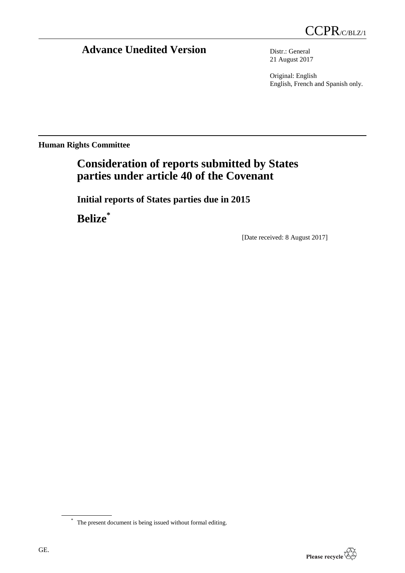# **Advance Unedited Version** Distr.: General

21 August 2017

Original: English English, French and Spanish only.

**Human Rights Committee**

# **Consideration of reports submitted by States parties under article 40 of the Covenant**

**Initial reports of States parties due in 2015**

**Belize\***

[Date received: 8 August 2017]

<sup>\*</sup> The present document is being issued without formal editing.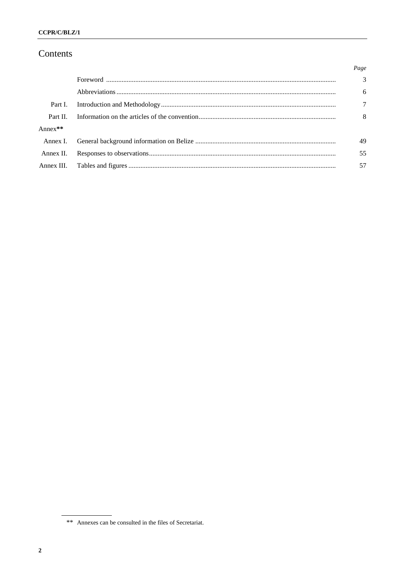# Contents

|            | Page           |
|------------|----------------|
|            | $\overline{3}$ |
|            | 6              |
| Part I.    | 7              |
| Part II.   | 8              |
| Anne $x**$ |                |
| Annex I.   | 49             |
| Annex II.  | 55             |
| Annex III. | 57             |

<sup>\*\*</sup> Annexes can be consulted in the files of Secretariat.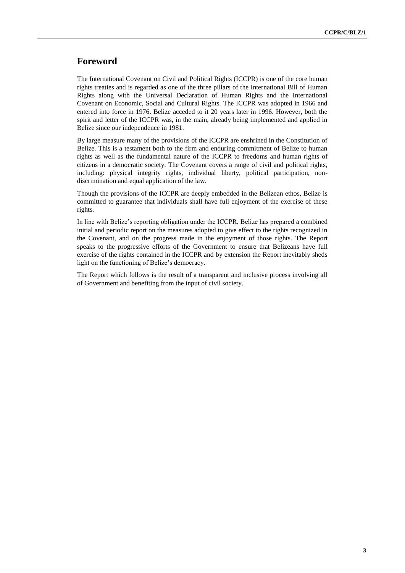# **Foreword**

The International Covenant on Civil and Political Rights (ICCPR) is one of the core human rights treaties and is regarded as one of the three pillars of the International Bill of Human Rights along with the Universal Declaration of Human Rights and the International Covenant on Economic, Social and Cultural Rights. The ICCPR was adopted in 1966 and entered into force in 1976. Belize acceded to it 20 years later in 1996. However, both the spirit and letter of the ICCPR was, in the main, already being implemented and applied in Belize since our independence in 1981.

By large measure many of the provisions of the ICCPR are enshrined in the Constitution of Belize. This is a testament both to the firm and enduring commitment of Belize to human rights as well as the fundamental nature of the ICCPR to freedoms and human rights of citizens in a democratic society. The Covenant covers a range of civil and political rights, including: physical integrity rights, individual liberty, political participation, nondiscrimination and equal application of the law.

Though the provisions of the ICCPR are deeply embedded in the Belizean ethos, Belize is committed to guarantee that individuals shall have full enjoyment of the exercise of these rights.

In line with Belize's reporting obligation under the ICCPR, Belize has prepared a combined initial and periodic report on the measures adopted to give effect to the rights recognized in the Covenant, and on the progress made in the enjoyment of those rights. The Report speaks to the progressive efforts of the Government to ensure that Belizeans have full exercise of the rights contained in the ICCPR and by extension the Report inevitably sheds light on the functioning of Belize's democracy.

The Report which follows is the result of a transparent and inclusive process involving all of Government and benefiting from the input of civil society.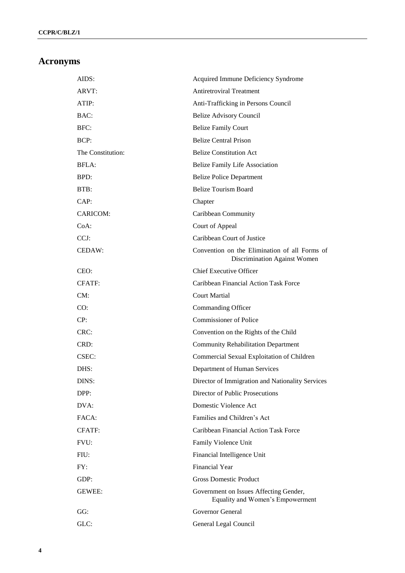# **Acronyms**

| AIDS:             | Acquired Immune Deficiency Syndrome                                           |
|-------------------|-------------------------------------------------------------------------------|
| ARVT:             | <b>Antiretroviral Treatment</b>                                               |
| ATIP:             | Anti-Trafficking in Persons Council                                           |
| BAC:              | <b>Belize Advisory Council</b>                                                |
| BFC:              | <b>Belize Family Court</b>                                                    |
| BCP:              | <b>Belize Central Prison</b>                                                  |
| The Constitution: | <b>Belize Constitution Act</b>                                                |
| BFLA:             | <b>Belize Family Life Association</b>                                         |
| BPD:              | <b>Belize Police Department</b>                                               |
| BTB:              | <b>Belize Tourism Board</b>                                                   |
| CAP:              | Chapter                                                                       |
| CARICOM:          | Caribbean Community                                                           |
| $CoA$ :           | Court of Appeal                                                               |
| CCJ:              | Caribbean Court of Justice                                                    |
| CEDAW:            | Convention on the Elimination of all Forms of<br>Discrimination Against Women |
| CEO:              | <b>Chief Executive Officer</b>                                                |
| <b>CFATF:</b>     | Caribbean Financial Action Task Force                                         |
| CM:               | <b>Court Martial</b>                                                          |
| CO:               | Commanding Officer                                                            |
| CP:               | <b>Commissioner of Police</b>                                                 |
| CRC:              | Convention on the Rights of the Child                                         |
| CRD:              | <b>Community Rehabilitation Department</b>                                    |
| CSEC:             | Commercial Sexual Exploitation of Children                                    |
| DHS:              | Department of Human Services                                                  |
| DINS:             | Director of Immigration and Nationality Services                              |
| DPP:              | Director of Public Prosecutions                                               |
| DVA:              | Domestic Violence Act                                                         |
| FACA:             | Families and Children's Act                                                   |
| <b>CFATF:</b>     | Caribbean Financial Action Task Force                                         |
| FVU:              | Family Violence Unit                                                          |
| FIU:              | Financial Intelligence Unit                                                   |
| FY:               | <b>Financial Year</b>                                                         |
| GDP:              | <b>Gross Domestic Product</b>                                                 |
| <b>GEWEE:</b>     | Government on Issues Affecting Gender,<br>Equality and Women's Empowerment    |
| GG:               | Governor General                                                              |
| GLC:              | General Legal Council                                                         |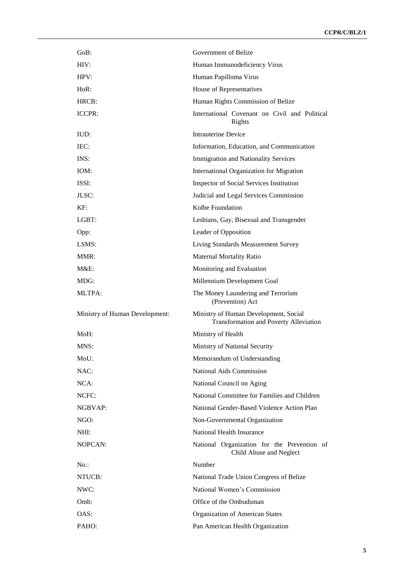| GoB:                           | Government of Belize                                                                   |
|--------------------------------|----------------------------------------------------------------------------------------|
| HIV:                           | Human Immunodeficiency Virus                                                           |
| HPV:                           | Human Papilloma Virus                                                                  |
| $HoR$ :                        | House of Representatives                                                               |
| HRCB:                          | Human Rights Commission of Belize                                                      |
| ICCPR:                         | International Covenant on Civil and Political<br>Rights                                |
| IUD:                           | <b>Intrauterine Device</b>                                                             |
| IEC:                           | Information, Education, and Communication                                              |
| INS:                           | <b>Immigration and Nationality Services</b>                                            |
| IOM:                           | International Organization for Migration                                               |
| ISSI:                          | <b>Inspector of Social Services Institution</b>                                        |
| ILSC:                          | Judicial and Legal Services Commission                                                 |
| KF:                            | Kolbe Foundation                                                                       |
| LGBT:                          | Lesbians, Gay, Bisexual and Transgender                                                |
| Opp:                           | Leader of Opposition                                                                   |
| LSMS:                          | Living Standards Measurement Survey                                                    |
| MMR:                           | <b>Maternal Mortality Ratio</b>                                                        |
| $M&E$ :                        | Monitoring and Evaluation                                                              |
| MDG:                           | Millennium Development Goal                                                            |
|                                |                                                                                        |
| <b>MLTPA:</b>                  | The Money Laundering and Terrorism<br>(Prevention) Act                                 |
| Ministry of Human Development: | Ministry of Human Development, Social<br><b>Transformation and Poverty Alleviation</b> |
| MoH:                           | Ministry of Health                                                                     |
| MNS:                           | Ministry of National Security                                                          |
| MoU:                           | Memorandum of Understanding                                                            |
| NAC:                           | <b>National Aids Commission</b>                                                        |
| NCA:                           | National Council on Aging                                                              |
| NCFC:                          | National Committee for Families and Children                                           |
| NGBVAP:                        | National Gender-Based Violence Action Plan                                             |
| NGO:                           | Non-Governmental Organization                                                          |
| NHI:                           | National Health Insurance                                                              |
| <b>NOPCAN:</b>                 | National Organization for the Prevention of<br>Child Abuse and Neglect                 |
| $No.$ :                        | Number                                                                                 |
| NTUCB:                         | National Trade Union Congress of Belize                                                |
| NWC:                           | National Women's Commission                                                            |
| Omb:                           | Office of the Ombudsman                                                                |
| OAS:                           | <b>Organization of American States</b>                                                 |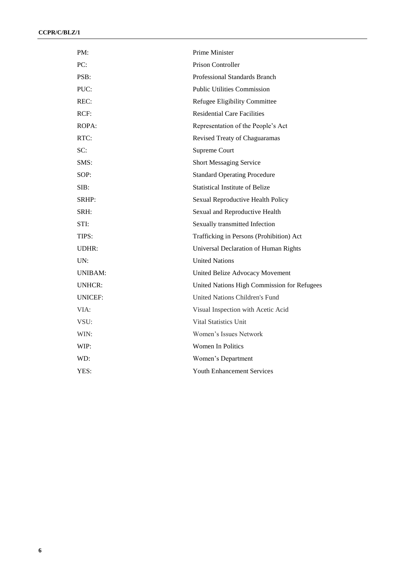| PM:            | Prime Minister                              |
|----------------|---------------------------------------------|
| PC:            | Prison Controller                           |
| PSB:           | Professional Standards Branch               |
| PUC:           | <b>Public Utilities Commission</b>          |
| REC:           | Refugee Eligibility Committee               |
| RCF:           | <b>Residential Care Facilities</b>          |
| ROPA:          | Representation of the People's Act          |
| RTC:           | Revised Treaty of Chaguaramas               |
| SC:            | Supreme Court                               |
| SMS:           | <b>Short Messaging Service</b>              |
| SOP:           | <b>Standard Operating Procedure</b>         |
| SIB:           | <b>Statistical Institute of Belize</b>      |
| SRHP:          | Sexual Reproductive Health Policy           |
| SRH:           | Sexual and Reproductive Health              |
| STI:           | Sexually transmitted Infection              |
| TIPS:          | Trafficking in Persons (Prohibition) Act    |
| <b>UDHR:</b>   | Universal Declaration of Human Rights       |
| UN:            | <b>United Nations</b>                       |
| <b>UNIBAM:</b> | United Belize Advocacy Movement             |
| UNHCR:         | United Nations High Commission for Refugees |
| <b>UNICEF:</b> | United Nations Children's Fund              |
| VIA:           | Visual Inspection with Acetic Acid          |
| VSU:           | <b>Vital Statistics Unit</b>                |
| WIN:           | Women's Issues Network                      |
| WIP:           | <b>Women In Politics</b>                    |
| WD:            | Women's Department                          |
| YES:           | <b>Youth Enhancement Services</b>           |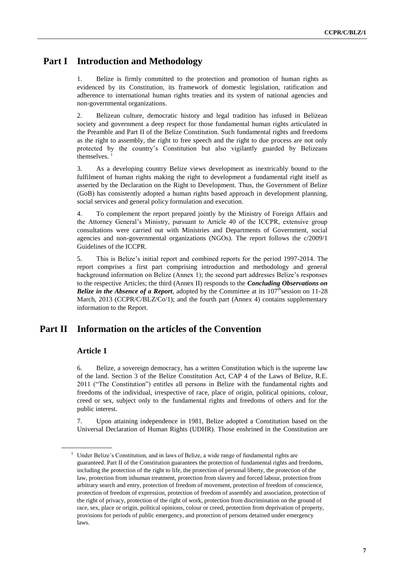# **Part I Introduction and Methodology**

1. Belize is firmly committed to the protection and promotion of human rights as evidenced by its Constitution, its framework of domestic legislation, ratification and adherence to international human rights treaties and its system of national agencies and non-governmental organizations.

2. Belizean culture, democratic history and legal tradition has infused in Belizean society and government a deep respect for those fundamental human rights articulated in the Preamble and Part II of the Belize Constitution. Such fundamental rights and freedoms as the right to assembly, the right to free speech and the right to due process are not only protected by the country's Constitution but also vigilantly guarded by Belizeans themselves.

3. As a developing country Belize views development as inextricably bound to the fulfilment of human rights making the right to development a fundamental right itself as asserted by the Declaration on the Right to Development. Thus, the Government of Belize (GoB) has consistently adopted a human rights based approach in development planning, social services and general policy formulation and execution.

4. To complement the report prepared jointly by the Ministry of Foreign Affairs and the Attorney General's Ministry, pursuant to Article 40 of the ICCPR, extensive group consultations were carried out with Ministries and Departments of Government, social agencies and non-governmental organizations (NGOs). The report follows the c/2009/1 Guidelines of the ICCPR.

5. This is Belize's initial report and combined reports for the period 1997-2014. The report comprises a first part comprising introduction and methodology and general background information on Belize (Annex 1); the second part addresses Belize's responses to the respective Articles; the third (Annex II) responds to the *Concluding Observations on Belize in the Absence of a Report*, adopted by the Committee at its  $107^{\text{th}}$  session on 11-28 March, 2013 (CCPR/C/BLZ/Co/1); and the fourth part (Annex 4) contains supplementary information to the Report.

# **Part II Information on the articles of the Convention**

## **Article 1**

6. Belize, a sovereign democracy, has a written Constitution which is the supreme law of the land. Section 3 of the Belize Constitution Act, CAP 4 of the Laws of Belize, R.E. 2011 ("The Constitution") entitles all persons in Belize with the fundamental rights and freedoms of the individual, irrespective of race, place of origin, political opinions, colour, creed or sex, subject only to the fundamental rights and freedoms of others and for the public interest.

7. Upon attaining independence in 1981, Belize adopted a Constitution based on the Universal Declaration of Human Rights (UDHR). Those enshrined in the Constitution are

<sup>1</sup> Under Belize's Constitution, and in laws of Belize, a wide range of fundamental rights are guaranteed. Part II of the Constitution guarantees the protection of fundamental rights and freedoms, including the protection of the right to life, the protection of personal liberty, the protection of the law, protection from inhuman treatment, protection from slavery and forced labour, protection from arbitrary search and entry, protection of freedom of movement, protection of freedom of conscience, protection of freedom of expression, protection of freedom of assembly and association, protection of the right of privacy, protection of the right of work, protection from discrimination on the ground of race, sex, place or origin, political opinions, colour or creed, protection from deprivation of property, provisions for periods of public emergency, and protection of persons detained under emergency laws.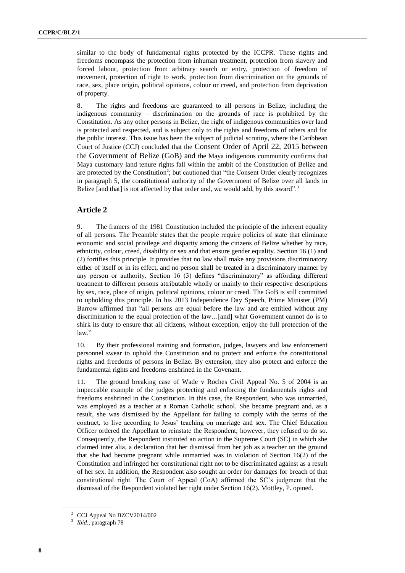similar to the body of fundamental rights protected by the ICCPR. These rights and freedoms encompass the protection from inhuman treatment, protection from slavery and forced labour, protection from arbitrary search or entry, protection of freedom of movement, protection of right to work, protection from discrimination on the grounds of race, sex, place origin, political opinions, colour or creed, and protection from deprivation of property.

8. The rights and freedoms are guaranteed to all persons in Belize, including the indigenous community – discrimination on the grounds of race is prohibited by the Constitution. As any other persons in Belize, the right of indigenous communities over land is protected and respected, and is subject only to the rights and freedoms of others and for the public interest. This issue has been the subject of judicial scrutiny, where the Caribbean Court of Justice (CCJ) concluded that the Consent Order of April 22, 2015 between the Government of Belize (GoB) and the Maya indigenous community confirms that Maya customary land tenure rights fall within the ambit of the Constitution of Belize and are protected by the Constitution<sup>2</sup>; but cautioned that "the Consent Order clearly recognizes in paragraph 5, the constitutional authority of the Government of Belize over all lands in Belize [and that] is not affected by that order and, we would add, by this award".<sup>3</sup>

### **Article 2**

9. The framers of the 1981 Constitution included the principle of the inherent equality of all persons. The Preamble states that the people require policies of state that eliminate economic and social privilege and disparity among the citizens of Belize whether by race, ethnicity, colour, creed, disability or sex and that ensure gender equality. Section 16 (1) and (2) fortifies this principle. It provides that no law shall make any provisions discriminatory either of itself or in its effect, and no person shall be treated in a discriminatory manner by any person or authority. Section 16 (3) defines "discriminatory" as affording different treatment to different persons attributable wholly or mainly to their respective descriptions by sex, race, place of origin, political opinions, colour or creed. The GoB is still committed to upholding this principle. In his 2013 Independence Day Speech, Prime Minister (PM) Barrow affirmed that "all persons are equal before the law and are entitled without any discrimination to the equal protection of the law…[and] what Government cannot do is to shirk its duty to ensure that all citizens, without exception, enjoy the full protection of the law."

10. By their professional training and formation, judges, lawyers and law enforcement personnel swear to uphold the Constitution and to protect and enforce the constitutional rights and freedoms of persons in Belize. By extension, they also protect and enforce the fundamental rights and freedoms enshrined in the Covenant.

11. The ground breaking case of Wade v Roches Civil Appeal No. 5 of 2004 is an impeccable example of the judges protecting and enforcing the fundamentals rights and freedoms enshrined in the Constitution. In this case, the Respondent, who was unmarried, was employed as a teacher at a Roman Catholic school. She became pregnant and, as a result, she was dismissed by the Appellant for failing to comply with the terms of the contract, to live according to Jesus' teaching on marriage and sex. The Chief Education Officer ordered the Appellant to reinstate the Respondent; however, they refused to do so. Consequently, the Respondent instituted an action in the Supreme Court (SC) in which she claimed inter alia, a declaration that her dismissal from her job as a teacher on the ground that she had become pregnant while unmarried was in violation of Section 16(2) of the Constitution and infringed her constitutional right not to be discriminated against as a result of her sex. In addition, the Respondent also sought an order for damages for breach of that constitutional right. The Court of Appeal (CoA) affirmed the SC's judgment that the dismissal of the Respondent violated her right under Section 16(2). Mottley, P. opined.

<sup>2</sup> CCJ Appeal No BZCV2014/002

<sup>3</sup> *Ibid*., paragraph 78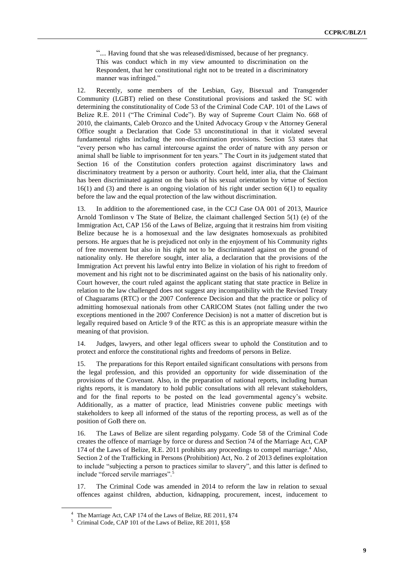"... Having found that she was released/dismissed, because of her pregnancy. This was conduct which in my view amounted to discrimination on the Respondent, that her constitutional right not to be treated in a discriminatory manner was infringed."

12. Recently, some members of the Lesbian, Gay, Bisexual and Transgender Community (LGBT) relied on these Constitutional provisions and tasked the SC with determining the constitutionality of Code 53 of the Criminal Code CAP. 101 of the Laws of Belize R.E. 2011 ("The Criminal Code"). By way of Supreme Court Claim No. 668 of 2010, the claimants, Caleb Orozco and the United Advocacy Group v the Attorney General Office sought a Declaration that Code 53 unconstitutional in that it violated several fundamental rights including the non-discrimination provisions. Section 53 states that "every person who has carnal intercourse against the order of nature with any person or animal shall be liable to imprisonment for ten years." The Court in its judgement stated that Section 16 of the Constitution confers protection against discriminatory laws and discriminatory treatment by a person or authority. Court held, inter alia, that the Claimant has been discriminated against on the basis of his sexual orientation by virtue of Section  $16(1)$  and (3) and there is an ongoing violation of his right under section  $6(1)$  to equality before the law and the equal protection of the law without discrimination.

13. In addition to the aforementioned case, in the CCJ Case OA 001 of 2013, Maurice Arnold Tomlinson v The State of Belize, the claimant challenged Section 5(1) (e) of the Immigration Act, CAP 156 of the Laws of Belize, arguing that it restrains him from visiting Belize because he is a homosexual and the law designates homosexuals as prohibited persons. He argues that he is prejudiced not only in the enjoyment of his Community rights of free movement but also in his right not to be discriminated against on the ground of nationality only. He therefore sought, inter alia, a declaration that the provisions of the Immigration Act prevent his lawful entry into Belize in violation of his right to freedom of movement and his right not to be discriminated against on the basis of his nationality only. Court however, the court ruled against the applicant stating that state practice in Belize in relation to the law challenged does not suggest any incompatibility with the Revised Treaty of Chaguarams (RTC) or the 2007 Conference Decision and that the practice or policy of admitting homosexual nationals from other CARICOM States (not falling under the two exceptions mentioned in the 2007 Conference Decision) is not a matter of discretion but is legally required based on Article 9 of the RTC as this is an appropriate measure within the meaning of that provision.

14. Judges, lawyers, and other legal officers swear to uphold the Constitution and to protect and enforce the constitutional rights and freedoms of persons in Belize.

15. The preparations for this Report entailed significant consultations with persons from the legal profession, and this provided an opportunity for wide dissemination of the provisions of the Covenant. Also, in the preparation of national reports, including human rights reports, it is mandatory to hold public consultations with all relevant stakeholders, and for the final reports to be posted on the lead governmental agency's website. Additionally, as a matter of practice, lead Ministries convene public meetings with stakeholders to keep all informed of the status of the reporting process, as well as of the position of GoB there on.

16. The Laws of Belize are silent regarding polygamy. Code 58 of the Criminal Code creates the offence of marriage by force or duress and Section 74 of the Marriage Act, CAP 174 of the Laws of Belize, R.E. 2011 prohibits any proceedings to compel marriage.<sup>4</sup> Also, Section 2 of the Trafficking in Persons (Prohibition) Act, No. 2 of 2013 defines exploitation to include "subjecting a person to practices similar to slavery", and this latter is defined to include "forced servile marriages".<sup>5</sup>

17. The Criminal Code was amended in 2014 to reform the law in relation to sexual offences against children, abduction, kidnapping, procurement, incest, inducement to

<sup>4</sup> The Marriage Act, CAP 174 of the Laws of Belize, RE 2011, §74

<sup>5</sup> Criminal Code, CAP 101 of the Laws of Belize, RE 2011, §58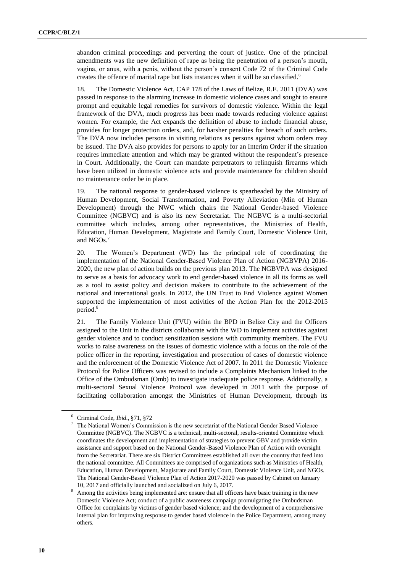abandon criminal proceedings and perverting the court of justice. One of the principal amendments was the new definition of rape as being the penetration of a person's mouth, vagina, or anus, with a penis, without the person's consent Code 72 of the Criminal Code creates the offence of marital rape but lists instances when it will be so classified.<sup>6</sup>

18. The Domestic Violence Act, CAP 178 of the Laws of Belize, R.E. 2011 (DVA) was passed in response to the alarming increase in domestic violence cases and sought to ensure prompt and equitable legal remedies for survivors of domestic violence. Within the legal framework of the DVA, much progress has been made towards reducing violence against women. For example, the Act expands the definition of abuse to include financial abuse, provides for longer protection orders, and, for harsher penalties for breach of such orders. The DVA now includes persons in visiting relations as persons against whom orders may be issued. The DVA also provides for persons to apply for an Interim Order if the situation requires immediate attention and which may be granted without the respondent's presence in Court. Additionally, the Court can mandate perpetrators to relinquish firearms which have been utilized in domestic violence acts and provide maintenance for children should no maintenance order be in place.

19. The national response to gender-based violence is spearheaded by the Ministry of Human Development, Social Transformation, and Poverty Alleviation (Min of Human Development) through the NWC which chairs the National Gender-based Violence Committee (NGBVC) and is also its new Secretariat. The NGBVC is a multi-sectorial committee which includes, among other representatives, the Ministries of Health, Education, Human Development, Magistrate and Family Court, Domestic Violence Unit, and NGOs.<sup>7</sup>

20. The Women's Department (WD) has the principal role of coordinating the implementation of the National Gender-Based Violence Plan of Action (NGBVPA) 2016- 2020, the new plan of action builds on the previous plan 2013. The NGBVPA was designed to serve as a basis for advocacy work to end gender-based violence in all its forms as well as a tool to assist policy and decision makers to contribute to the achievement of the national and international goals. In 2012, the UN Trust to End Violence against Women supported the implementation of most activities of the Action Plan for the 2012-2015 period.<sup>8</sup>

21. The Family Violence Unit (FVU) within the BPD in Belize City and the Officers assigned to the Unit in the districts collaborate with the WD to implement activities against gender violence and to conduct sensitization sessions with community members. The FVU works to raise awareness on the issues of domestic violence with a focus on the role of the police officer in the reporting, investigation and prosecution of cases of domestic violence and the enforcement of the Domestic Violence Act of 2007. In 2011 the Domestic Violence Protocol for Police Officers was revised to include a Complaints Mechanism linked to the Office of the Ombudsman (Omb) to investigate inadequate police response. Additionally, a multi-sectoral Sexual Violence Protocol was developed in 2011 with the purpose of facilitating collaboration amongst the Ministries of Human Development, through its

<sup>6</sup> Criminal Code, *Ibid*., §71, §72

<sup>7</sup> The National Women's Commission is the new secretariat of the National Gender Based Violence Committee (NGBVC). The NGBVC is a technical, multi-sectoral, results-oriented Committee which coordinates the development and implementation of strategies to prevent GBV and provide victim assistance and support based on the National Gender-Based Violence Plan of Action with oversight from the Secretariat. There are six District Committees established all over the country that feed into the national committee. All Committees are comprised of organizations such as Ministries of Health, Education, Human Development, Magistrate and Family Court, Domestic Violence Unit, and NGOs. The National Gender-Based Violence Plan of Action 2017-2020 was passed by Cabinet on January 10, 2017 and officially launched and socialized on July 6, 2017.

<sup>&</sup>lt;sup>8</sup> Among the activities being implemented are: ensure that all officers have basic training in the new Domestic Violence Act; conduct of a public awareness campaign promulgating the Ombudsman Office for complaints by victims of gender based violence; and the development of a comprehensive internal plan for improving response to gender based violence in the Police Department, among many others.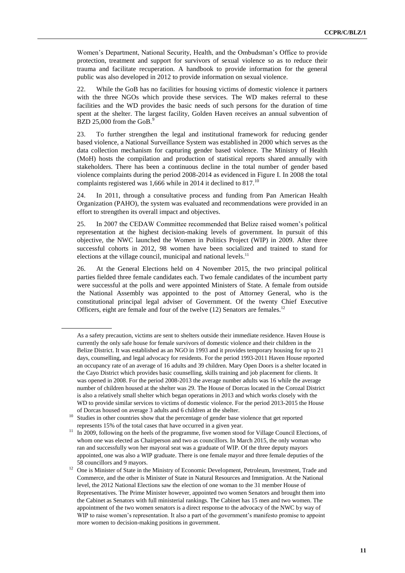Women's Department, National Security, Health, and the Ombudsman's Office to provide protection, treatment and support for survivors of sexual violence so as to reduce their trauma and facilitate recuperation. A handbook to provide information for the general public was also developed in 2012 to provide information on sexual violence.

22. While the GoB has no facilities for housing victims of domestic violence it partners with the three NGOs which provide these services. The WD makes referral to these facilities and the WD provides the basic needs of such persons for the duration of time spent at the shelter. The largest facility, Golden Haven receives an annual subvention of BZD 25,000 from the GoB. $9$ 

23. To further strengthen the legal and institutional framework for reducing gender based violence, a National Surveillance System was established in 2000 which serves as the data collection mechanism for capturing gender based violence. The Ministry of Health (MoH) hosts the compilation and production of statistical reports shared annually with stakeholders. There has been a continuous decline in the total number of gender based violence complaints during the period 2008-2014 as evidenced in Figure I. In 2008 the total complaints registered was 1,666 while in 2014 it declined to 817.<sup>10</sup>

24. In 2011, through a consultative process and funding from Pan American Health Organization (PAHO), the system was evaluated and recommendations were provided in an effort to strengthen its overall impact and objectives.

25. In 2007 the CEDAW Committee recommended that Belize raised women's political representation at the highest decision-making levels of government. In pursuit of this objective, the NWC launched the Women in Politics Project (WIP) in 2009. After three successful cohorts in 2012, 98 women have been socialized and trained to stand for elections at the village council, municipal and national levels. $<sup>11</sup>$ </sup>

26. At the General Elections held on 4 November 2015, the two principal political parties fielded three female candidates each. Two female candidates of the incumbent party were successful at the polls and were appointed Ministers of State. A female from outside the National Assembly was appointed to the post of Attorney General, who is the constitutional principal legal adviser of Government. Of the twenty Chief Executive Officers, eight are female and four of the twelve  $(12)$  Senators are females.<sup>12</sup>

As a safety precaution, victims are sent to shelters outside their immediate residence. Haven House is currently the only safe house for female survivors of domestic violence and their children in the Belize District. It was established as an NGO in 1993 and it provides temporary housing for up to 21 days, counselling, and legal advocacy for residents. For the period 1993-2011 Haven House reported an occupancy rate of an average of 16 adults and 39 children. Mary Open Doors is a shelter located in the Cayo District which provides basic counselling, skills training and job placement for clients. It was opened in 2008. For the period 2008-2013 the average number adults was 16 while the average number of children housed at the shelter was 29. The House of Dorcas located in the Corozal District is also a relatively small shelter which began operations in 2013 and which works closely with the WD to provide similar services to victims of domestic violence. For the period 2013-2015 the House of Dorcas housed on average 3 adults and 6 children at the shelter.

<sup>10</sup> Studies in other countries show that the percentage of gender base violence that get reported represents 15% of the total cases that have occurred in a given year.

<sup>11</sup> In 2009, following on the heels of the programme, five women stood for Village Council Elections, of whom one was elected as Chairperson and two as councillors. In March 2015, the only woman who ran and successfully won her mayoral seat was a graduate of WIP. Of the three deputy mayors appointed, one was also a WIP graduate. There is one female mayor and three female deputies of the 58 councillors and 9 mayors.

<sup>&</sup>lt;sup>12</sup> One is Minister of State in the Ministry of Economic Development, Petroleum, Investment, Trade and Commerce, and the other is Minister of State in Natural Resources and Immigration. At the National level, the 2012 National Elections saw the election of one woman to the 31 member House of Representatives. The Prime Minister however, appointed two women Senators and brought them into the Cabinet as Senators with full ministerial rankings. The Cabinet has 15 men and two women. The appointment of the two women senators is a direct response to the advocacy of the NWC by way of WIP to raise women's representation. It also a part of the government's manifesto promise to appoint more women to decision-making positions in government.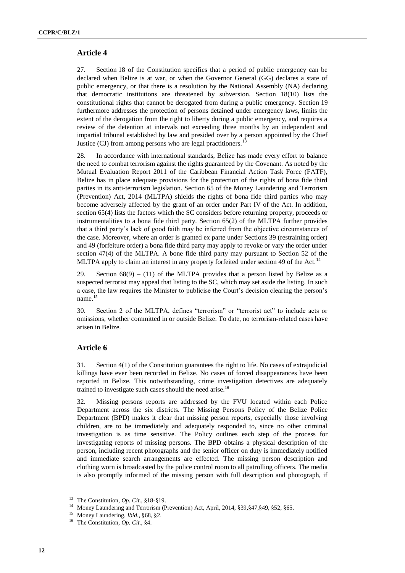#### **Article 4**

27. Section 18 of the Constitution specifies that a period of public emergency can be declared when Belize is at war, or when the Governor General (GG) declares a state of public emergency, or that there is a resolution by the National Assembly (NA) declaring that democratic institutions are threatened by subversion. Section 18(10) lists the constitutional rights that cannot be derogated from during a public emergency. Section 19 furthermore addresses the protection of persons detained under emergency laws, limits the extent of the derogation from the right to liberty during a public emergency, and requires a review of the detention at intervals not exceeding three months by an independent and impartial tribunal established by law and presided over by a person appointed by the Chief Justice (CJ) from among persons who are legal practitioners.<sup>1</sup>

28. In accordance with international standards, Belize has made every effort to balance the need to combat terrorism against the rights guaranteed by the Covenant. As noted by the Mutual Evaluation Report 2011 of the Caribbean Financial Action Task Force (FATF), Belize has in place adequate provisions for the protection of the rights of bona fide third parties in its anti-terrorism legislation. Section 65 of the Money Laundering and Terrorism (Prevention) Act, 2014 (MLTPA) shields the rights of bona fide third parties who may become adversely affected by the grant of an order under Part IV of the Act. In addition, section 65(4) lists the factors which the SC considers before returning property, proceeds or instrumentalities to a bona fide third party. Section 65(2) of the MLTPA further provides that a third party's lack of good faith may be inferred from the objective circumstances of the case. Moreover, where an order is granted ex parte under Sections 39 (restraining order) and 49 (forfeiture order) a bona fide third party may apply to revoke or vary the order under section 47(4) of the MLTPA. A bone fide third party may pursuant to Section 52 of the MLTPA apply to claim an interest in any property forfeited under section 49 of the Act.<sup>14</sup>

29. Section  $68(9) - (11)$  of the MLTPA provides that a person listed by Belize as a suspected terrorist may appeal that listing to the SC, which may set aside the listing. In such a case, the law requires the Minister to publicise the Court's decision clearing the person's name.<sup>15</sup>

30. Section 2 of the MLTPA, defines "terrorism" or "terrorist act" to include acts or omissions, whether committed in or outside Belize. To date, no terrorism-related cases have arisen in Belize.

## **Article 6**

31. Section 4(1) of the Constitution guarantees the right to life. No cases of extrajudicial killings have ever been recorded in Belize. No cases of forced disappearances have been reported in Belize. This notwithstanding, crime investigation detectives are adequately trained to investigate such cases should the need arise.<sup>16</sup>

32. Missing persons reports are addressed by the FVU located within each Police Department across the six districts. The Missing Persons Policy of the Belize Police Department (BPD) makes it clear that missing person reports, especially those involving children, are to be immediately and adequately responded to, since no other criminal investigation is as time sensitive. The Policy outlines each step of the process for investigating reports of missing persons. The BPD obtains a physical description of the person, including recent photographs and the senior officer on duty is immediately notified and immediate search arrangements are effected. The missing person description and clothing worn is broadcasted by the police control room to all patrolling officers. The media is also promptly informed of the missing person with full description and photograph, if

<sup>13</sup> The Constitution, *Op. Cit*., §18-§19.

<sup>&</sup>lt;sup>14</sup> Money Laundering and Terrorism (Prevention) Act, April, 2014, §39,§47,§49, §52, §65.

<sup>15</sup> Money Laundering, *Ibid*., §68, §2.

<sup>16</sup> The Constitution, *Op. Cit*., §4.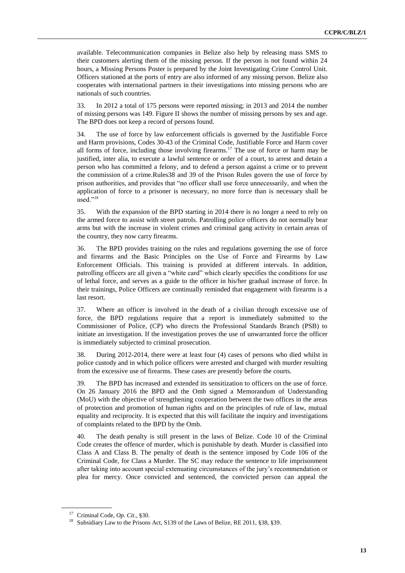available. Telecommunication companies in Belize also help by releasing mass SMS to their customers alerting them of the missing person. If the person is not found within 24 hours, a Missing Persons Poster is prepared by the Joint Investigating Crime Control Unit. Officers stationed at the ports of entry are also informed of any missing person. Belize also cooperates with international partners in their investigations into missing persons who are nationals of such countries.

33. In 2012 a total of 175 persons were reported missing; in 2013 and 2014 the number of missing persons was 149. Figure II shows the number of missing persons by sex and age. The BPD does not keep a record of persons found.

34. The use of force by law enforcement officials is governed by the Justifiable Force and Harm provisions, Codes 30-43 of the Criminal Code, Justifiable Force and Harm cover all forms of force, including those involving firearms.<sup>17</sup> The use of force or harm may be justified, inter alia, to execute a lawful sentence or order of a court, to arrest and detain a person who has committed a felony, and to defend a person against a crime or to prevent the commission of a crime.Rules38 and 39 of the Prison Rules govern the use of force by prison authorities, and provides that "no officer shall use force unnecessarily, and when the application of force to a prisoner is necessary, no more force than is necessary shall be used."<sup>18</sup>

35. With the expansion of the BPD starting in 2014 there is no longer a need to rely on the armed force to assist with street patrols. Patrolling police officers do not normally bear arms but with the increase in violent crimes and criminal gang activity in certain areas of the country, they now carry firearms.

36. The BPD provides training on the rules and regulations governing the use of force and firearms and the Basic Principles on the Use of Force and Firearms by Law Enforcement Officials. This training is provided at different intervals. In addition, patrolling officers are all given a "white card" which clearly specifies the conditions for use of lethal force, and serves as a guide to the officer in his/her gradual increase of force. In their trainings, Police Officers are continually reminded that engagement with firearms is a last resort.

37. Where an officer is involved in the death of a civilian through excessive use of force, the BPD regulations require that a report is immediately submitted to the Commissioner of Police, (CP) who directs the Professional Standards Branch (PSB) to initiate an investigation. If the investigation proves the use of unwarranted force the officer is immediately subjected to criminal prosecution.

38. During 2012-2014, there were at least four (4) cases of persons who died whilst in police custody and in which police officers were arrested and charged with murder resulting from the excessive use of firearms. These cases are presently before the courts.

39. The BPD has increased and extended its sensitization to officers on the use of force. On 26 January 2016 the BPD and the Omb signed a Memorandum of Understanding (MoU) with the objective of strengthening cooperation between the two offices in the areas of protection and promotion of human rights and on the principles of rule of law, mutual equality and reciprocity. It is expected that this will facilitate the inquiry and investigations of complaints related to the BPD by the Omb.

40. The death penalty is still present in the laws of Belize. Code 10 of the Criminal Code creates the offence of murder, which is punishable by death. Murder is classified into Class A and Class B. The penalty of death is the sentence imposed by Code 106 of the Criminal Code, for Class a Murder. The SC may reduce the sentence to life imprisonment after taking into account special extenuating circumstances of the jury's recommendation or plea for mercy. Once convicted and sentenced, the convicted person can appeal the

<sup>17</sup> Criminal Code, *Op. Cit*., §30.

<sup>18</sup> Subsidiary Law to the Prisons Act, S139 of the Laws of Belize, RE 2011, §38, §39.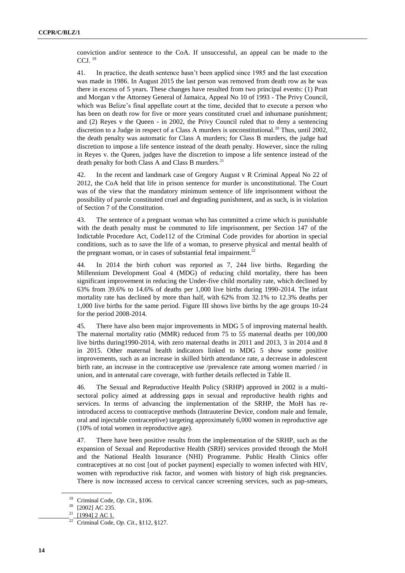conviction and/or sentence to the CoA. If unsuccessful, an appeal can be made to the CCJ.  $^{19}$ 

41. In practice, the death sentence hasn't been applied since 1985 and the last execution was made in 1986. In August 2015 the last person was removed from death row as he was there in excess of 5 years. These changes have resulted from two principal events: (1) Pratt and Morgan v the Attorney General of Jamaica, Appeal No 10 of 1993 - The Privy Council, which was Belize's final appellate court at the time, decided that to execute a person who has been on death row for five or more years constituted cruel and inhumane punishment; and (2) Reyes v the Queen - in 2002, the Privy Council ruled that to deny a sentencing discretion to a Judge in respect of a Class A murders is unconstitutional.<sup>20</sup> Thus, until 2002, the death penalty was automatic for Class A murders; for Class B murders, the judge had discretion to impose a life sentence instead of the death penalty. However, since the ruling in Reyes v. the Queen, judges have the discretion to impose a life sentence instead of the death penalty for both Class A and Class B murders.<sup>21</sup>

42. In the recent and landmark case of Gregory August v R Criminal Appeal No 22 of 2012, the CoA held that life in prison sentence for murder is unconstitutional. The Court was of the view that the mandatory minimum sentence of life imprisonment without the possibility of parole constituted cruel and degrading punishment, and as such, is in violation of Section 7 of the Constitution.

43. The sentence of a pregnant woman who has committed a crime which is punishable with the death penalty must be commuted to life imprisonment, per Section 147 of the Indictable Procedure Act, Code112 of the Criminal Code provides for abortion in special conditions, such as to save the life of a woman, to preserve physical and mental health of the pregnant woman, or in cases of substantial fetal impairment.<sup>22</sup>

44. In 2014 the birth cohort was reported as 7, 244 live births. Regarding the Millennium Development Goal 4 (MDG) of reducing child mortality, there has been significant improvement in reducing the Under-five child mortality rate, which declined by 63% from 39.6% to 14.6% of deaths per 1,000 live births during 1990-2014. The infant mortality rate has declined by more than half, with 62% from 32.1% to 12.3% deaths per 1,000 live births for the same period. Figure III shows live births by the age groups 10-24 for the period 2008-2014.

45. There have also been major improvements in MDG 5 of improving maternal health. The maternal mortality ratio (MMR) reduced from 75 to 55 maternal deaths per 100,000 live births during1990-2014, with zero maternal deaths in 2011 and 2013, 3 in 2014 and 8 in 2015. Other maternal health indicators linked to MDG 5 show some positive improvements, such as an increase in skilled birth attendance rate, a decrease in adolescent birth rate, an increase in the contraceptive use /prevalence rate among women married / in union, and in antenatal care coverage, with further details reflected in Table II.

46. The Sexual and Reproductive Health Policy (SRHP) approved in 2002 is a multisectoral policy aimed at addressing gaps in sexual and reproductive health rights and services. In terms of advancing the implementation of the SRHP, the MoH has reintroduced access to contraceptive methods (Intrauterine Device, condom male and female, oral and injectable contraceptive) targeting approximately 6,000 women in reproductive age (10% of total women in reproductive age).

47. There have been positive results from the implementation of the SRHP, such as the expansion of Sexual and Reproductive Health (SRH) services provided through the MoH and the National Health Insurance (NHI) Programme. Public Health Clinics offer contraceptives at no cost [out of pocket payment] especially to women infected with HIV, women with reproductive risk factor, and women with history of high risk pregnancies. There is now increased access to cervical cancer screening services, such as pap-smears,

<sup>19</sup> Criminal Code, *Op. Cit*., §106.

 $^{20}$  [2002] AC 235.<br><sup>21</sup> [1004] 2 AC 1

<sup>[1994] 2</sup> AC 1.

<sup>22</sup> Criminal Code, *Op. Cit*., §112, §127.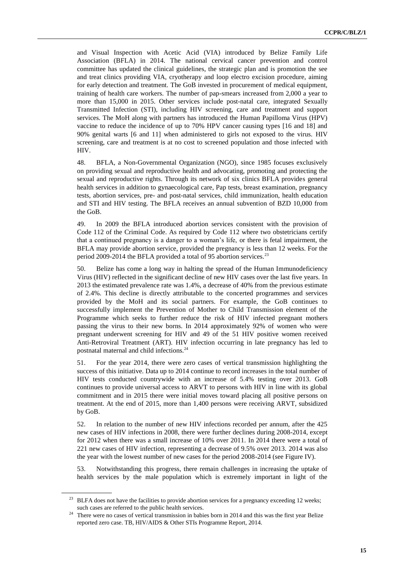and Visual Inspection with Acetic Acid (VIA) introduced by Belize Family Life Association (BFLA) in 2014. The national cervical cancer prevention and control committee has updated the clinical guidelines, the strategic plan and is promotion the see and treat clinics providing VIA, cryotherapy and loop electro excision procedure, aiming for early detection and treatment. The GoB invested in procurement of medical equipment, training of health care workers. The number of pap-smears increased from 2,000 a year to more than 15,000 in 2015. Other services include post-natal care, integrated Sexually Transmitted Infection (STI), including HIV screening, care and treatment and support services. The MoH along with partners has introduced the Human Papilloma Virus (HPV) vaccine to reduce the incidence of up to 70% HPV cancer causing types [16 and 18] and 90% genital warts [6 and 11] when administered to girls not exposed to the virus. HIV screening, care and treatment is at no cost to screened population and those infected with HIV.

48. BFLA, a Non-Governmental Organization (NGO), since 1985 focuses exclusively on providing sexual and reproductive health and advocating, promoting and protecting the sexual and reproductive rights. Through its network of six clinics BFLA provides general health services in addition to gynaecological care, Pap tests, breast examination, pregnancy tests, abortion services, pre- and post-natal services, child immunization, health education and STI and HIV testing. The BFLA receives an annual subvention of BZD 10,000 from the GoB.

49. In 2009 the BFLA introduced abortion services consistent with the provision of Code 112 of the Criminal Code. As required by Code 112 where two obstetricians certify that a continued pregnancy is a danger to a woman's life, or there is fetal impairment, the BFLA may provide abortion service, provided the pregnancy is less than 12 weeks. For the period 2009-2014 the BFLA provided a total of 95 abortion services.<sup>23</sup>

50. Belize has come a long way in halting the spread of the Human Immunodeficiency Virus (HIV) reflected in the significant decline of new HIV cases over the last five years. In 2013 the estimated prevalence rate was 1.4%, a decrease of 40% from the previous estimate of 2.4%. This decline is directly attributable to the concerted programmes and services provided by the MoH and its social partners. For example, the GoB continues to successfully implement the Prevention of Mother to Child Transmission element of the Programme which seeks to further reduce the risk of HIV infected pregnant mothers passing the virus to their new borns. In 2014 approximately 92% of women who were pregnant underwent screening for HIV and 49 of the 51 HIV positive women received Anti-Retroviral Treatment (ART). HIV infection occurring in late pregnancy has led to postnatal maternal and child infections.<sup>24</sup>

51. For the year 2014, there were zero cases of vertical transmission highlighting the success of this initiative. Data up to 2014 continue to record increases in the total number of HIV tests conducted countrywide with an increase of 5.4% testing over 2013. GoB continues to provide universal access to ARVT to persons with HIV in line with its global commitment and in 2015 there were initial moves toward placing all positive persons on treatment. At the end of 2015, more than 1,400 persons were receiving ARVT, subsidized by GoB.

52. In relation to the number of new HIV infections recorded per annum, after the 425 new cases of HIV infections in 2008, there were further declines during 2008-2014, except for 2012 when there was a small increase of 10% over 2011. In 2014 there were a total of 221 new cases of HIV infection, representing a decrease of 9.5% over 2013. 2014 was also the year with the lowest number of new cases for the period 2008-2014 (see Figure IV).

53. Notwithstanding this progress, there remain challenges in increasing the uptake of health services by the male population which is extremely important in light of the

<sup>&</sup>lt;sup>23</sup> BLFA does not have the facilities to provide abortion services for a pregnancy exceeding 12 weeks; such cases are referred to the public health services.

<sup>&</sup>lt;sup>24</sup> There were no cases of vertical transmission in babies born in 2014 and this was the first year Belize reported zero case. TB, HIV/AIDS & Other STIs Programme Report, 2014.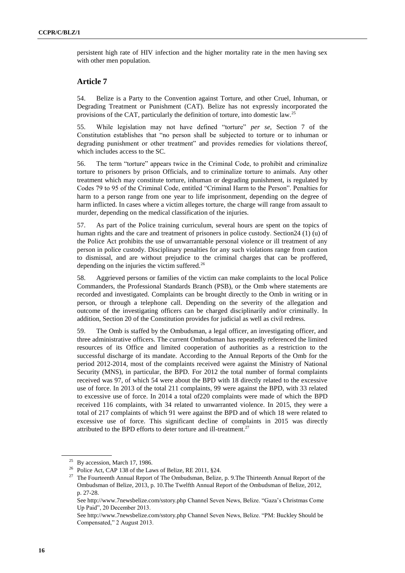persistent high rate of HIV infection and the higher mortality rate in the men having sex with other men population.

### **Article 7**

54. Belize is a Party to the Convention against Torture, and other Cruel, Inhuman, or Degrading Treatment or Punishment (CAT). Belize has not expressly incorporated the provisions of the CAT, particularly the definition of torture, into domestic law.<sup>25</sup>

55. While legislation may not have defined "torture" *per se*, Section 7 of the Constitution establishes that "no person shall be subjected to torture or to inhuman or degrading punishment or other treatment" and provides remedies for violations thereof, which includes access to the SC.

56. The term "torture" appears twice in the Criminal Code, to prohibit and criminalize torture to prisoners by prison Officials, and to criminalize torture to animals. Any other treatment which may constitute torture, inhuman or degrading punishment, is regulated by Codes 79 to 95 of the Criminal Code, entitled "Criminal Harm to the Person". Penalties for harm to a person range from one year to life imprisonment, depending on the degree of harm inflicted. In cases where a victim alleges torture, the charge will range from assault to murder, depending on the medical classification of the injuries.

57. As part of the Police training curriculum, several hours are spent on the topics of human rights and the care and treatment of prisoners in police custody. Section24 (1) (u) of the Police Act prohibits the use of unwarrantable personal violence or ill treatment of any person in police custody. Disciplinary penalties for any such violations range from caution to dismissal, and are without prejudice to the criminal charges that can be proffered, depending on the injuries the victim suffered. $^{26}$ 

58. Aggrieved persons or families of the victim can make complaints to the local Police Commanders, the Professional Standards Branch (PSB), or the Omb where statements are recorded and investigated. Complaints can be brought directly to the Omb in writing or in person, or through a telephone call. Depending on the severity of the allegation and outcome of the investigating officers can be charged disciplinarily and/or criminally. In addition, Section 20 of the Constitution provides for judicial as well as civil redress.

59. The Omb is staffed by the Ombudsman, a legal officer, an investigating officer, and three administrative officers. The current Ombudsman has repeatedly referenced the limited resources of its Office and limited cooperation of authorities as a restriction to the successful discharge of its mandate. According to the Annual Reports of the Omb for the period 2012-2014, most of the complaints received were against the Ministry of National Security (MNS), in particular, the BPD. For 2012 the total number of formal complaints received was 97, of which 54 were about the BPD with 18 directly related to the excessive use of force. In 2013 of the total 211 complaints, 99 were against the BPD, with 33 related to excessive use of force. In 2014 a total of220 complaints were made of which the BPD received 116 complaints, with 34 related to unwarranted violence. In 2015, they were a total of 217 complaints of which 91 were against the BPD and of which 18 were related to excessive use of force. This significant decline of complaints in 2015 was directly attributed to the BPD efforts to deter torture and ill-treatment.<sup>27</sup>

 $25$  By accession, March 17, 1986.

<sup>&</sup>lt;sup>26</sup> Police Act, CAP 138 of the Laws of Belize, RE 2011, §24.

<sup>&</sup>lt;sup>27</sup> The Fourteenth Annual Report of The Ombudsman, Belize, p. 9. The Thirteenth Annual Report of the Ombudsman of Belize, 2013, p. 10.The Twelfth Annual Report of the Ombudsman of Belize, 2012, p. 27-28.

Se[e http://www.7newsbelize.com/sstory.php](http://www.7newsbelize.com/sstory.php) Channel Seven News, Belize. "Gaza's Christmas Come Up Paid", 20 December 2013.

Se[e http://www.7newsbelize.com/sstory.php](http://www.7newsbelize.com/sstory.php) Channel Seven News, Belize. "PM: Buckley Should be Compensated," 2 August 2013.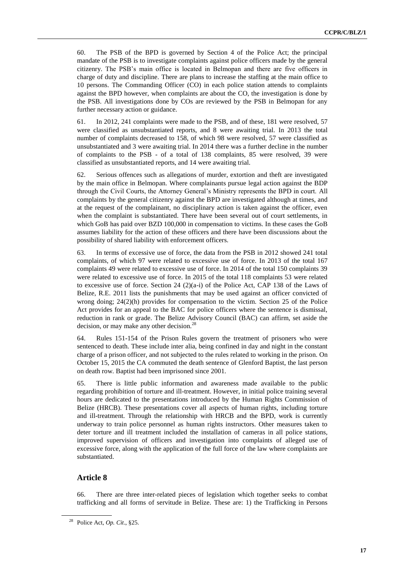60. The PSB of the BPD is governed by Section 4 of the Police Act; the principal mandate of the PSB is to investigate complaints against police officers made by the general citizenry. The PSB's main office is located in Belmopan and there are five officers in charge of duty and discipline. There are plans to increase the staffing at the main office to 10 persons. The Commanding Officer (CO) in each police station attends to complaints against the BPD however, when complaints are about the CO, the investigation is done by the PSB. All investigations done by COs are reviewed by the PSB in Belmopan for any further necessary action or guidance.

61. In 2012, 241 complaints were made to the PSB, and of these, 181 were resolved, 57 were classified as unsubstantiated reports, and 8 were awaiting trial. In 2013 the total number of complaints decreased to 158, of which 98 were resolved, 57 were classified as unsubstantiated and 3 were awaiting trial. In 2014 there was a further decline in the number of complaints to the PSB - of a total of 138 complaints, 85 were resolved, 39 were classified as unsubstantiated reports, and 14 were awaiting trial.

62. Serious offences such as allegations of murder, extortion and theft are investigated by the main office in Belmopan. Where complainants pursue legal action against the BDP through the Civil Courts, the Attorney General's Ministry represents the BPD in court. All complaints by the general citizenry against the BPD are investigated although at times, and at the request of the complainant, no disciplinary action is taken against the officer, even when the complaint is substantiated. There have been several out of court settlements, in which GoB has paid over BZD 100,000 in compensation to victims. In these cases the GoB assumes liability for the action of these officers and there have been discussions about the possibility of shared liability with enforcement officers.

63. In terms of excessive use of force, the data from the PSB in 2012 showed 241 total complaints, of which 97 were related to excessive use of force. In 2013 of the total 167 complaints 49 were related to excessive use of force. In 2014 of the total 150 complaints 39 were related to excessive use of force. In 2015 of the total 118 complaints 53 were related to excessive use of force. Section 24 (2)(a-i) of the Police Act, CAP 138 of the Laws of Belize, R.E. 2011 lists the punishments that may be used against an officer convicted of wrong doing; 24(2)(h) provides for compensation to the victim. Section 25 of the Police Act provides for an appeal to the BAC for police officers where the sentence is dismissal, reduction in rank or grade. The Belize Advisory Council (BAC) can affirm, set aside the decision, or may make any other decision.<sup>28</sup>

64. Rules 151-154 of the Prison Rules govern the treatment of prisoners who were sentenced to death. These include inter alia, being confined in day and night in the constant charge of a prison officer, and not subjected to the rules related to working in the prison. On October 15, 2015 the CA commuted the death sentence of Glenford Baptist, the last person on death row. Baptist had been imprisoned since 2001.

65. There is little public information and awareness made available to the public regarding prohibition of torture and ill-treatment. However, in initial police training several hours are dedicated to the presentations introduced by the Human Rights Commission of Belize (HRCB). These presentations cover all aspects of human rights, including torture and ill-treatment. Through the relationship with HRCB and the BPD, work is currently underway to train police personnel as human rights instructors. Other measures taken to deter torture and ill treatment included the installation of cameras in all police stations, improved supervision of officers and investigation into complaints of alleged use of excessive force, along with the application of the full force of the law where complaints are substantiated.

# **Article 8**

66. There are three inter-related pieces of legislation which together seeks to combat trafficking and all forms of servitude in Belize. These are: 1) the Trafficking in Persons

<sup>28</sup> Police Act, *Op. Cit*., §25.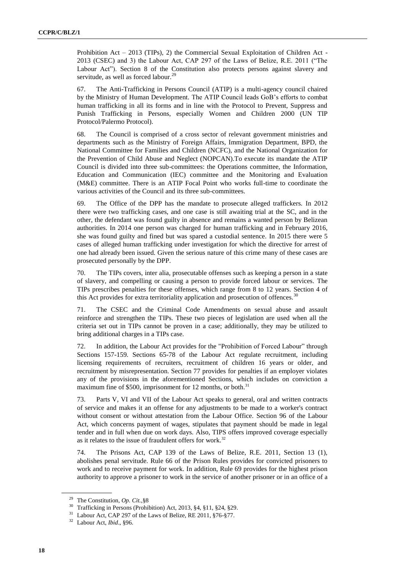Prohibition Act – 2013 (TIPs), 2) the Commercial Sexual Exploitation of Children Act - 2013 (CSEC) and 3) the Labour Act, CAP 297 of the Laws of Belize, R.E. 2011 ("The Labour Act"). Section 8 of the Constitution also protects persons against slavery and servitude, as well as forced labour.<sup>29</sup>

67. The Anti-Trafficking in Persons Council (ATIP) is a multi-agency council chaired by the Ministry of Human Development. The ATIP Council leads GoB's efforts to combat human trafficking in all its forms and in line with the Protocol to Prevent, Suppress and Punish Trafficking in Persons, especially Women and Children 2000 (UN TIP Protocol/Palermo Protocol).

68. The Council is comprised of a cross sector of relevant government ministries and departments such as the Ministry of Foreign Affairs, Immigration Department, BPD, the National Committee for Families and Children (NCFC), and the National Organization for the Prevention of Child Abuse and Neglect (NOPCAN).To execute its mandate the ATIP Council is divided into three sub-committees: the Operations committee, the Information, Education and Communication (IEC) committee and the Monitoring and Evaluation (M&E) committee. There is an ATIP Focal Point who works full-time to coordinate the various activities of the Council and its three sub-committees.

69. The Office of the DPP has the mandate to prosecute alleged traffickers. In 2012 there were two trafficking cases, and one case is still awaiting trial at the SC, and in the other, the defendant was found guilty in absence and remains a wanted person by Belizean authorities. In 2014 one person was charged for human trafficking and in February 2016, she was found guilty and fined but was spared a custodial sentence. In 2015 there were 5 cases of alleged human trafficking under investigation for which the directive for arrest of one had already been issued. Given the serious nature of this crime many of these cases are prosecuted personally by the DPP.

70. The TIPs covers, inter alia, prosecutable offenses such as keeping a person in a state of slavery, and compelling or causing a person to provide forced labour or services. The TIPs prescribes penalties for these offenses, which range from 8 to 12 years. Section 4 of this Act provides for extra territoriality application and prosecution of offences.  $30$ 

71. The CSEC and the Criminal Code Amendments on sexual abuse and assault reinforce and strengthen the TIPs. These two pieces of legislation are used when all the criteria set out in TIPs cannot be proven in a case; additionally, they may be utilized to bring additional charges in a TIPs case.

72. In addition, the Labour Act provides for the "Prohibition of Forced Labour" through Sections 157-159. Sections 65-78 of the Labour Act regulate recruitment, including licensing requirements of recruiters, recruitment of children 16 years or older, and recruitment by misrepresentation. Section 77 provides for penalties if an employer violates any of the provisions in the aforementioned Sections, which includes on conviction a maximum fine of \$500, imprisonment for 12 months, or both. $31$ 

73. Parts V, VI and VII of the Labour Act speaks to general, oral and written contracts of service and makes it an offense for any adjustments to be made to a worker's contract without consent or without attestation from the Labour Office. Section 96 of the Labour Act, which concerns payment of wages, stipulates that payment should be made in legal tender and in full when due on work days. Also, TIPS offers improved coverage especially as it relates to the issue of fraudulent offers for work.<sup>32</sup>

74. The Prisons Act, CAP 139 of the Laws of Belize, R.E. 2011, Section 13 (1), abolishes penal servitude. Rule 66 of the Prison Rules provides for convicted prisoners to work and to receive payment for work. In addition, Rule 69 provides for the highest prison authority to approve a prisoner to work in the service of another prisoner or in an office of a

<sup>29</sup> The Constitution, *Op. Cit.,*§8

<sup>30</sup> Trafficking in Persons (Prohibition) Act, 2013, §4, §11, §24, §29.

<sup>&</sup>lt;sup>31</sup> Labour Act, CAP 297 of the Laws of Belize, RE 2011, §76-§77.

<sup>32</sup> Labour Act, *Ibid*., §96.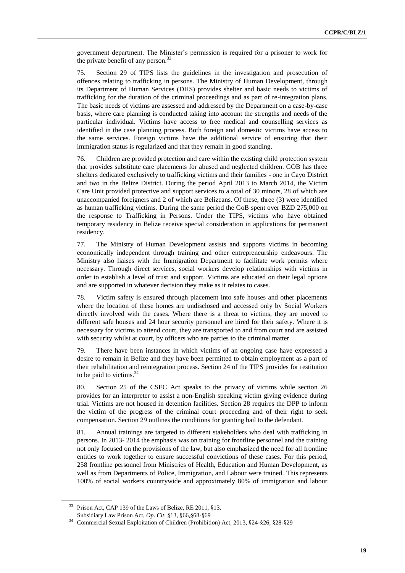government department. The Minister's permission is required for a prisoner to work for the private benefit of any person. $33$ 

75. Section 29 of TIPS lists the guidelines in the investigation and prosecution of offences relating to trafficking in persons. The Ministry of Human Development, through its Department of Human Services (DHS) provides shelter and basic needs to victims of trafficking for the duration of the criminal proceedings and as part of re-integration plans. The basic needs of victims are assessed and addressed by the Department on a case-by-case basis, where care planning is conducted taking into account the strengths and needs of the particular individual. Victims have access to free medical and counselling services as identified in the case planning process. Both foreign and domestic victims have access to the same services. Foreign victims have the additional service of ensuring that their immigration status is regularized and that they remain in good standing.

76. Children are provided protection and care within the existing child protection system that provides substitute care placements for abused and neglected children. GOB has three shelters dedicated exclusively to trafficking victims and their families - one in Cayo District and two in the Belize District. During the period April 2013 to March 2014, the Victim Care Unit provided protective and support services to a total of 30 minors, 28 of which are unaccompanied foreigners and 2 of which are Belizeans. Of these, three (3) were identified as human trafficking victims. During the same period the GoB spent over BZD 275,000 on the response to Trafficking in Persons. Under the TIPS, victims who have obtained temporary residency in Belize receive special consideration in applications for permanent residency.

77. The Ministry of Human Development assists and supports victims in becoming economically independent through training and other entrepreneurship endeavours. The Ministry also liaises with the Immigration Department to facilitate work permits where necessary. Through direct services, social workers develop relationships with victims in order to establish a level of trust and support. Victims are educated on their legal options and are supported in whatever decision they make as it relates to cases.

78. Victim safety is ensured through placement into safe houses and other placements where the location of these homes are undisclosed and accessed only by Social Workers directly involved with the cases. Where there is a threat to victims, they are moved to different safe houses and 24 hour security personnel are hired for their safety. Where it is necessary for victims to attend court, they are transported to and from court and are assisted with security whilst at court, by officers who are parties to the criminal matter.

79. There have been instances in which victims of an ongoing case have expressed a desire to remain in Belize and they have been permitted to obtain employment as a part of their rehabilitation and reintegration process. Section 24 of the TIPS provides for restitution to be paid to victims. $34$ 

80. Section 25 of the CSEC Act speaks to the privacy of victims while section 26 provides for an interpreter to assist a non-English speaking victim giving evidence during trial. Victims are not housed in detention facilities. Section 28 requires the DPP to inform the victim of the progress of the criminal court proceeding and of their right to seek compensation. Section 29 outlines the conditions for granting bail to the defendant.

81. Annual trainings are targeted to different stakeholders who deal with trafficking in persons. In 2013- 2014 the emphasis was on training for frontline personnel and the training not only focused on the provisions of the law, but also emphasized the need for all frontline entities to work together to ensure successful convictions of these cases. For this period, 258 frontline personnel from Ministries of Health, Education and Human Development, as well as from Departments of Police, Immigration, and Labour were trained. This represents 100% of social workers countrywide and approximately 80% of immigration and labour

<sup>&</sup>lt;sup>33</sup> Prison Act, CAP 139 of the Laws of Belize, RE 2011, §13.

Subsidiary Law Prison Act, *Op. Cit*. §13, §66,§68-§69

<sup>34</sup> Commercial Sexual Exploitation of Children (Prohibition) Act, 2013, §24-§26, §28-§29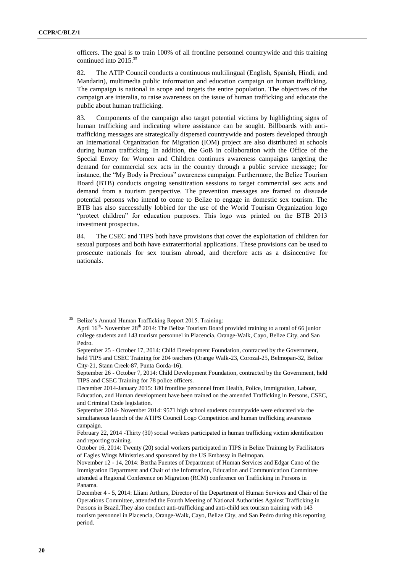officers. The goal is to train 100% of all frontline personnel countrywide and this training continued into 2015.<sup>35</sup>

82. The ATIP Council conducts a continuous multilingual (English, Spanish, Hindi, and Mandarin), multimedia public information and education campaign on human trafficking. The campaign is national in scope and targets the entire population. The objectives of the campaign are interalia, to raise awareness on the issue of human trafficking and educate the public about human trafficking.

83. Components of the campaign also target potential victims by highlighting signs of human trafficking and indicating where assistance can be sought. Billboards with antitrafficking messages are strategically dispersed countrywide and posters developed through an International Organization for Migration (IOM) project are also distributed at schools during human trafficking. In addition, the GoB in collaboration with the Office of the Special Envoy for Women and Children continues awareness campaigns targeting the demand for commercial sex acts in the country through a public service message; for instance, the "My Body is Precious" awareness campaign. Furthermore, the Belize Tourism Board (BTB) conducts ongoing sensitization sessions to target commercial sex acts and demand from a tourism perspective. The prevention messages are framed to dissuade potential persons who intend to come to Belize to engage in domestic sex tourism. The BTB has also successfully lobbied for the use of the World Tourism Organization logo "protect children" for education purposes. This logo was printed on the BTB 2013 investment prospectus.

84. The CSEC and TIPS both have provisions that cover the exploitation of children for sexual purposes and both have extraterritorial applications. These provisions can be used to prosecute nationals for sex tourism abroad, and therefore acts as a disincentive for nationals.

<sup>&</sup>lt;sup>35</sup> Belize's Annual Human Trafficking Report 2015. Training: April 16<sup>th</sup>- November 28<sup>th</sup> 2014: The Belize Tourism Board provided training to a total of 66 junior college students and 143 tourism personnel in Placencia, Orange-Walk, Cayo, Belize City, and San Pedro.

September 25 - October 17, 2014: Child Development Foundation, contracted by the Government, held TIPS and CSEC Training for 204 teachers (Orange Walk-23, Corozal-25, Belmopan-32, Belize City-21, Stann Creek-87, Punta Gorda-16).

September 26 - October 7, 2014: Child Development Foundation, contracted by the Government, held TIPS and CSEC Training for 78 police officers.

December 2014-January 2015: 180 frontline personnel from Health, Police, Immigration, Labour, Education, and Human development have been trained on the amended Trafficking in Persons, CSEC, and Criminal Code legislation.

September 2014- November 2014: 9571 high school students countrywide were educated via the simultaneous launch of the ATIPS Council Logo Competition and human trafficking awareness campaign.

February 22, 2014 -Thirty (30) social workers participated in human trafficking victim identification and reporting training.

October 16, 2014: Twenty (20) social workers participated in TIPS in Belize Training by Facilitators of Eagles Wings Ministries and sponsored by the US Embassy in Belmopan.

November 12 - 14, 2014: Bertha Fuentes of Department of Human Services and Edgar Cano of the Immigration Department and Chair of the Information, Education and Communication Committee attended a Regional Conference on Migration (RCM) conference on Trafficking in Persons in Panama.

December 4 - 5, 2014: Lliani Arthurs, Director of the Department of Human Services and Chair of the Operations Committee, attended the Fourth Meeting of National Authorities Against Trafficking in Persons in Brazil.They also conduct anti-trafficking and anti-child sex tourism training with 143 tourism personnel in Placencia, Orange-Walk, Cayo, Belize City, and San Pedro during this reporting period.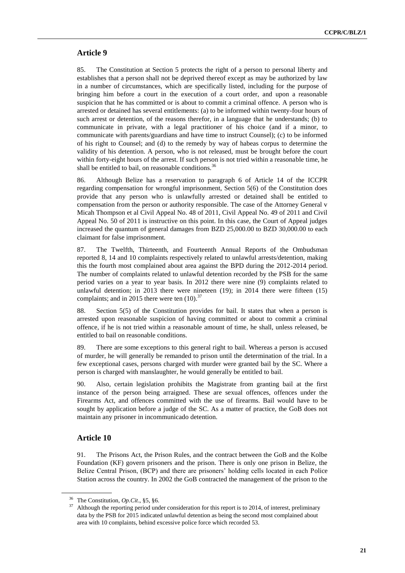### **Article 9**

85. The Constitution at Section 5 protects the right of a person to personal liberty and establishes that a person shall not be deprived thereof except as may be authorized by law in a number of circumstances, which are specifically listed, including for the purpose of bringing him before a court in the execution of a court order, and upon a reasonable suspicion that he has committed or is about to commit a criminal offence. A person who is arrested or detained has several entitlements: (a) to be informed within twenty-four hours of such arrest or detention, of the reasons therefor, in a language that he understands; (b) to communicate in private, with a legal practitioner of his choice (and if a minor, to communicate with parents/guardians and have time to instruct Counsel); (c) to be informed of his right to Counsel; and (d) to the remedy by way of habeas corpus to determine the validity of his detention. A person, who is not released, must be brought before the court within forty-eight hours of the arrest. If such person is not tried within a reasonable time, he shall be entitled to bail, on reasonable conditions.<sup>36</sup>

86. Although Belize has a reservation to paragraph 6 of Article 14 of the ICCPR regarding compensation for wrongful imprisonment, Section 5(6) of the Constitution does provide that any person who is unlawfully arrested or detained shall be entitled to compensation from the person or authority responsible. The case of the Attorney General v Micah Thompson et al Civil Appeal No. 48 of 2011, Civil Appeal No. 49 of 2011 and Civil Appeal No. 50 of 2011 is instructive on this point. In this case, the Court of Appeal judges increased the quantum of general damages from BZD 25,000.00 to BZD 30,000.00 to each claimant for false imprisonment.

87. The Twelfth, Thirteenth, and Fourteenth Annual Reports of the Ombudsman reported 8, 14 and 10 complaints respectively related to unlawful arrests/detention, making this the fourth most complained about area against the BPD during the 2012-2014 period. The number of complaints related to unlawful detention recorded by the PSB for the same period varies on a year to year basis. In 2012 there were nine (9) complaints related to unlawful detention; in 2013 there were nineteen (19); in 2014 there were fifteen (15) complaints; and in 2015 there were ten  $(10)^{37}$ 

88. Section 5(5) of the Constitution provides for bail. It states that when a person is arrested upon reasonable suspicion of having committed or about to commit a criminal offence, if he is not tried within a reasonable amount of time, he shall, unless released, be entitled to bail on reasonable conditions.

89. There are some exceptions to this general right to bail. Whereas a person is accused of murder, he will generally be remanded to prison until the determination of the trial. In a few exceptional cases, persons charged with murder were granted bail by the SC. Where a person is charged with manslaughter, he would generally be entitled to bail.

90. Also, certain legislation prohibits the Magistrate from granting bail at the first instance of the person being arraigned. These are sexual offences, offences under the Firearms Act, and offences committed with the use of firearms. Bail would have to be sought by application before a judge of the SC. As a matter of practice, the GoB does not maintain any prisoner in incommunicado detention.

#### **Article 10**

91. The Prisons Act, the Prison Rules, and the contract between the GoB and the Kolbe Foundation (KF) govern prisoners and the prison. There is only one prison in Belize, the Belize Central Prison, (BCP) and there are prisoners' holding cells located in each Police Station across the country. In 2002 the GoB contracted the management of the prison to the

<sup>36</sup> The Constitution, *Op.Cit*., §5, §6.

<sup>&</sup>lt;sup>37</sup> Although the reporting period under consideration for this report is to 2014, of interest, preliminary data by the PSB for 2015 indicated unlawful detention as being the second most complained about area with 10 complaints, behind excessive police force which recorded 53.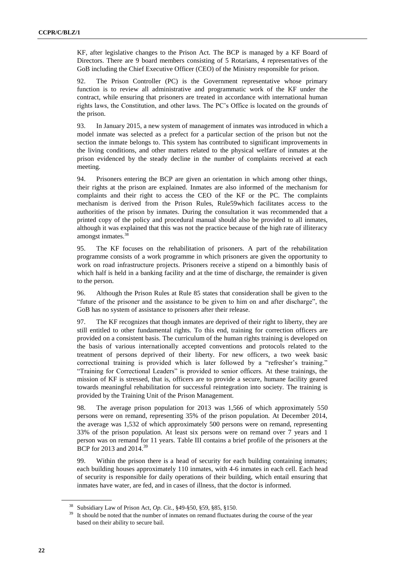KF, after legislative changes to the Prison Act. The BCP is managed by a KF Board of Directors. There are 9 board members consisting of 5 Rotarians, 4 representatives of the GoB including the Chief Executive Officer (CEO) of the Ministry responsible for prison.

92. The Prison Controller (PC) is the Government representative whose primary function is to review all administrative and programmatic work of the KF under the contract, while ensuring that prisoners are treated in accordance with international human rights laws, the Constitution, and other laws. The PC's Office is located on the grounds of the prison.

93. In January 2015, a new system of management of inmates was introduced in which a model inmate was selected as a prefect for a particular section of the prison but not the section the inmate belongs to. This system has contributed to significant improvements in the living conditions, and other matters related to the physical welfare of inmates at the prison evidenced by the steady decline in the number of complaints received at each meeting.

94. Prisoners entering the BCP are given an orientation in which among other things, their rights at the prison are explained. Inmates are also informed of the mechanism for complaints and their right to access the CEO of the KF or the PC. The complaints mechanism is derived from the Prison Rules, Rule59which facilitates access to the authorities of the prison by inmates. During the consultation it was recommended that a printed copy of the policy and procedural manual should also be provided to all inmates, although it was explained that this was not the practice because of the high rate of illiteracy amongst inmates.<sup>38</sup>

95. The KF focuses on the rehabilitation of prisoners. A part of the rehabilitation programme consists of a work programme in which prisoners are given the opportunity to work on road infrastructure projects. Prisoners receive a stipend on a bimonthly basis of which half is held in a banking facility and at the time of discharge, the remainder is given to the person.

96. Although the Prison Rules at Rule 85 states that consideration shall be given to the "future of the prisoner and the assistance to be given to him on and after discharge", the GoB has no system of assistance to prisoners after their release.

97. The KF recognizes that though inmates are deprived of their right to liberty, they are still entitled to other fundamental rights. To this end, training for correction officers are provided on a consistent basis. The curriculum of the human rights training is developed on the basis of various internationally accepted conventions and protocols related to the treatment of persons deprived of their liberty. For new officers, a two week basic correctional training is provided which is later followed by a "refresher's training." "Training for Correctional Leaders" is provided to senior officers. At these trainings, the mission of KF is stressed, that is, officers are to provide a secure, humane facility geared towards meaningful rehabilitation for successful reintegration into society. The training is provided by the Training Unit of the Prison Management.

98. The average prison population for 2013 was 1,566 of which approximately 550 persons were on remand, representing 35% of the prison population. At December 2014, the average was 1,532 of which approximately 500 persons were on remand, representing 33% of the prison population. At least six persons were on remand over 7 years and 1 person was on remand for 11 years. Table III contains a brief profile of the prisoners at the BCP for 2013 and 2014.<sup>39</sup>

99. Within the prison there is a head of security for each building containing inmates; each building houses approximately 110 inmates, with 4-6 inmates in each cell. Each head of security is responsible for daily operations of their building, which entail ensuring that inmates have water, are fed, and in cases of illness, that the doctor is informed.

<sup>38</sup> Subsidiary Law of Prison Act, *Op. Cit.,* §49-§50, §59, §85, §150.

<sup>&</sup>lt;sup>39</sup> It should be noted that the number of inmates on remand fluctuates during the course of the year based on their ability to secure bail.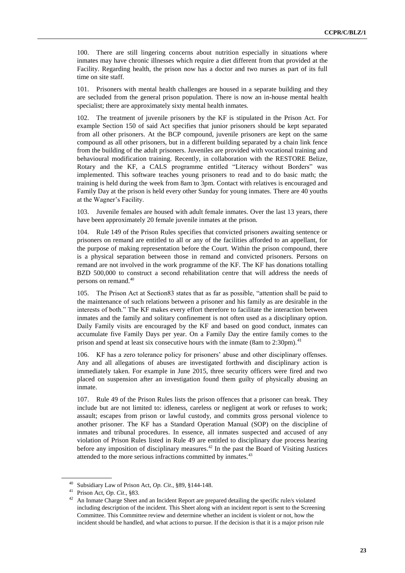100. There are still lingering concerns about nutrition especially in situations where inmates may have chronic illnesses which require a diet different from that provided at the Facility. Regarding health, the prison now has a doctor and two nurses as part of its full time on site staff.

101. Prisoners with mental health challenges are housed in a separate building and they are secluded from the general prison population. There is now an in-house mental health specialist; there are approximately sixty mental health inmates.

102. The treatment of juvenile prisoners by the KF is stipulated in the Prison Act. For example Section 150 of said Act specifies that junior prisoners should be kept separated from all other prisoners. At the BCP compound, juvenile prisoners are kept on the same compound as all other prisoners, but in a different building separated by a chain link fence from the building of the adult prisoners. Juveniles are provided with vocational training and behavioural modification training. Recently, in collaboration with the RESTORE Belize, Rotary and the KF, a CALS programme entitled "Literacy without Borders" was implemented. This software teaches young prisoners to read and to do basic math; the training is held during the week from 8am to 3pm. Contact with relatives is encouraged and Family Day at the prison is held every other Sunday for young inmates. There are 40 youths at the Wagner's Facility.

103. Juvenile females are housed with adult female inmates. Over the last 13 years, there have been approximately 20 female juvenile inmates at the prison.

104. Rule 149 of the Prison Rules specifies that convicted prisoners awaiting sentence or prisoners on remand are entitled to all or any of the facilities afforded to an appellant, for the purpose of making representation before the Court. Within the prison compound, there is a physical separation between those in remand and convicted prisoners. Persons on remand are not involved in the work programme of the KF. The KF has donations totalling BZD 500,000 to construct a second rehabilitation centre that will address the needs of persons on remand.<sup>40</sup>

105. The Prison Act at Section83 states that as far as possible, "attention shall be paid to the maintenance of such relations between a prisoner and his family as are desirable in the interests of both." The KF makes every effort therefore to facilitate the interaction between inmates and the family and solitary confinement is not often used as a disciplinary option. Daily Family visits are encouraged by the KF and based on good conduct, inmates can accumulate five Family Days per year. On a Family Day the entire family comes to the prison and spend at least six consecutive hours with the inmate (8am to  $2:30 \text{pm}$ ).<sup>41</sup>

106. KF has a zero tolerance policy for prisoners' abuse and other disciplinary offenses. Any and all allegations of abuses are investigated forthwith and disciplinary action is immediately taken. For example in June 2015, three security officers were fired and two placed on suspension after an investigation found them guilty of physically abusing an inmate.

107. Rule 49 of the Prison Rules lists the prison offences that a prisoner can break. They include but are not limited to: idleness, careless or negligent at work or refuses to work; assault; escapes from prison or lawful custody, and commits gross personal violence to another prisoner. The KF has a Standard Operation Manual (SOP) on the discipline of inmates and tribunal procedures. In essence, all inmates suspected and accused of any violation of Prison Rules listed in Rule 49 are entitled to disciplinary due process hearing before any imposition of disciplinary measures.<sup>42</sup> In the past the Board of Visiting Justices attended to the more serious infractions committed by inmates.<sup>43</sup>

<sup>40</sup> Subsidiary Law of Prison Act, *Op. Cit*., §89, §144-148.

<sup>41</sup> Prison Act, *Op. Cit*., §83.

<sup>42</sup> An Inmate Charge Sheet and an Incident Report are prepared detailing the specific rule/s violated including description of the incident. This Sheet along with an incident report is sent to the Screening Committee. This Committee review and determine whether an incident is violent or not, how the incident should be handled, and what actions to pursue. If the decision is that it is a major prison rule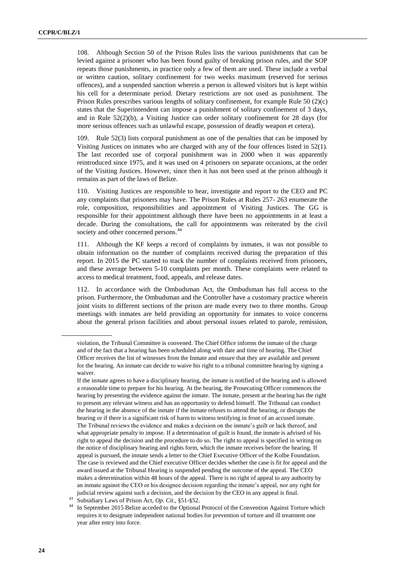108. Although Section 50 of the Prison Rules lists the various punishments that can be levied against a prisoner who has been found guilty of breaking prison rules, and the SOP repeats those punishments, in practice only a few of them are used. These include a verbal or written caution, solitary confinement for two weeks maximum (reserved for serious offences), and a suspended sanction wherein a person is allowed visitors but is kept within his cell for a determinate period. Dietary restrictions are not used as punishment. The Prison Rules prescribes various lengths of solitary confinement, for example Rule 50 (2)(c) states that the Superintendent can impose a punishment of solitary confinement of 3 days, and in Rule  $52(2)(b)$ , a Visiting Justice can order solitary confinement for 28 days (for more serious offences such as unlawful escape, possession of deadly weapon et cetera).

109. Rule 52(3) lists corporal punishment as one of the penalties that can be imposed by Visiting Justices on inmates who are charged with any of the four offences listed in 52(1). The last recorded use of corporal punishment was in 2000 when it was apparently reintroduced since 1975, and it was used on 4 prisoners on separate occasions, at the order of the Visiting Justices. However, since then it has not been used at the prison although it remains as part of the laws of Belize.

110. Visiting Justices are responsible to hear, investigate and report to the CEO and PC any complaints that prisoners may have. The Prison Rules at Rules 257- 263 enumerate the role, composition, responsibilities and appointment of Visiting Justices. The GG is responsible for their appointment although there have been no appointments in at least a decade. During the consultations, the call for appointments was reiterated by the civil society and other concerned persons.<sup>44</sup>

111. Although the KF keeps a record of complaints by inmates, it was not possible to obtain information on the number of complaints received during the preparation of this report. In 2015 the PC started to track the number of complaints received from prisoners, and these average between 5-10 complaints per month. These complaints were related to access to medical treatment, food, appeals, and release dates.

112. In accordance with the Ombudsman Act, the Ombudsman has full access to the prison. Furthermore, the Ombudsman and the Controller have a customary practice wherein joint visits to different sections of the prison are made every two to three months. Group meetings with inmates are held providing an opportunity for inmates to voice concerns about the general prison facilities and about personal issues related to parole, remission,

violation, the Tribunal Committee is convened. The Chief Office informs the inmate of the charge and of the fact that a hearing has been scheduled along with date and time of hearing. The Chief Officer receives the list of witnesses from the Inmate and ensure that they are available and present for the hearing. An inmate can decide to waive his right to a tribunal committee hearing by signing a waiver.

If the inmate agrees to have a disciplinary hearing, the inmate is notified of the hearing and is allowed a reasonable time to prepare for his hearing. At the hearing, the Prosecuting Officer commences the hearing by presenting the evidence against the inmate. The inmate, present at the hearing has the right to present any relevant witness and has an opportunity to defend himself. The Tribunal can conduct the hearing in the absence of the inmate if the inmate refuses to attend the hearing, or disrupts the hearing or if there is a significant risk of harm to witness testifying in front of an accused inmate. The Tribunal reviews the evidence and makes a decision on the inmate's guilt or lack thereof, and what appropriate penalty to impose. If a determination of guilt is found, the inmate is advised of his right to appeal the decision and the procedure to do so. The right to appeal is specified in writing on the notice of disciplinary hearing and rights form, which the inmate receives before the hearing. If appeal is pursued, the inmate sends a letter to the Chief Executive Officer of the Kolbe Foundation. The case is reviewed and the Chief executive Officer decides whether the case is fit for appeal and the award issued at the Tribunal Hearing is suspended pending the outcome of the appeal. The CEO makes a determination within 48 hours of the appeal. There is no right of appeal to any authority by an inmate against the CEO or his designee decision regarding the inmate's appeal, nor any right for judicial review against such a decision, and the decision by the CEO in any appeal is final.

<sup>43</sup> Subsidiary Laws of Prison Act, *Op. Cit.,* §51-§52.

In September 2015 Belize acceded to the Optional Protocol of the Convention Against Torture which requires it to designate independent national bodies for prevention of torture and ill treatment one year after entry into force.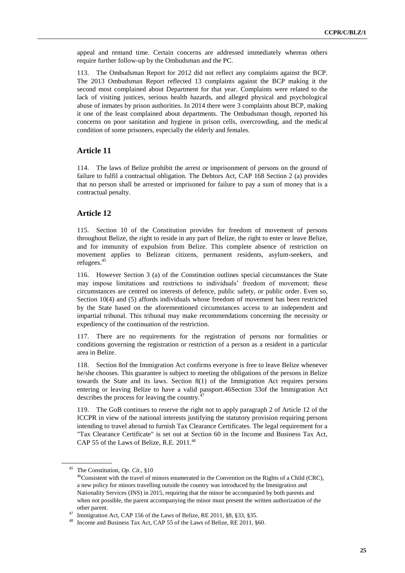appeal and remand time. Certain concerns are addressed immediately whereas others require further follow-up by the Ombudsman and the PC.

113. The Ombudsman Report for 2012 did not reflect any complaints against the BCP. The 2013 Ombudsman Report reflected 13 complaints against the BCP making it the second most complained about Department for that year. Complaints were related to the lack of visiting justices, serious health hazards, and alleged physical and psychological abuse of inmates by prison authorities. In 2014 there were 3 complaints about BCP, making it one of the least complained about departments. The Ombudsman though, reported his concerns on poor sanitation and hygiene in prison cells, overcrowding, and the medical condition of some prisoners, especially the elderly and females.

#### **Article 11**

114. The laws of Belize prohibit the arrest or imprisonment of persons on the ground of failure to fulfil a contractual obligation. The Debtors Act, CAP 168 Section 2 (a) provides that no person shall be arrested or imprisoned for failure to pay a sum of money that is a contractual penalty.

### **Article 12**

115. Section 10 of the Constitution provides for freedom of movement of persons throughout Belize, the right to reside in any part of Belize, the right to enter or leave Belize, and for immunity of expulsion from Belize. This complete absence of restriction on movement applies to Belizean citizens, permanent residents, asylum-seekers, and refugees.<sup>45</sup>

116. However Section 3 (a) of the Constitution outlines special circumstances the State may impose limitations and restrictions to individuals' freedom of movement; these circumstances are centred on interests of defence, public safety, or public order. Even so, Section 10(4) and (5) affords individuals whose freedom of movement has been restricted by the State based on the aforementioned circumstances access to an independent and impartial tribunal. This tribunal may make recommendations concerning the necessity or expediency of the continuation of the restriction.

117. There are no requirements for the registration of persons nor formalities or conditions governing the registration or restriction of a person as a resident in a particular area in Belize.

118. Section 8of the Immigration Act confirms everyone is free to leave Belize whenever he/she chooses. This guarantee is subject to meeting the obligations of the persons in Belize towards the State and its laws. Section 8(1) of the Immigration Act requires persons entering or leaving Belize to have a valid passport.46Section 33of the Immigration Act describes the process for leaving the country.<sup>4</sup>

119. The GoB continues to reserve the right not to apply paragraph 2 of Article 12 of the ICCPR in view of the national interests justifying the statutory provision requiring persons intending to travel abroad to furnish Tax Clearance Certificates. The legal requirement for a "Tax Clearance Certificate" is set out at Section 60 in the Income and Business Tax Act, CAP 55 of the Laws of Belize, R.E. 2011.<sup>48</sup>

<sup>45</sup> The Constitution, *Op. Cit*., §10

 $^{46}$ Consistent with the travel of minors enumerated in the Convention on the Rights of a Child (CRC), a new policy for minors travelling outside the country was introduced by the Immigration and Nationality Services (INS) in 2015, requiring that the minor be accompanied by both parents and when not possible, the parent accompanying the minor must present the written authorization of the other parent.

<sup>&</sup>lt;sup>47</sup> Immigration Act, CAP 156 of the Laws of Belize, RE 2011, §8, §33, §35.<br><sup>48</sup> Income and Dusingss Tay Act, CAB 55 of the Laws of Belize, BE 2011, §

Income and Business Tax Act, CAP 55 of the Laws of Belize, RE 2011, §60.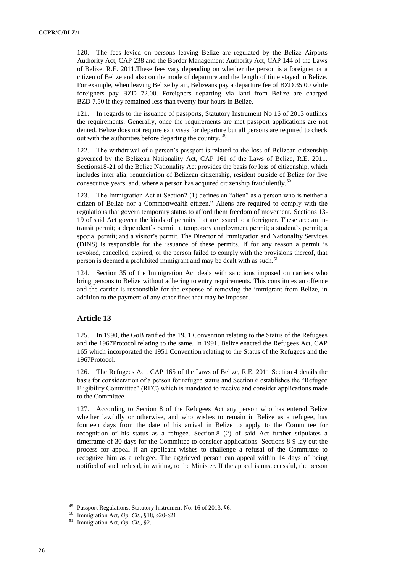120. The fees levied on persons leaving Belize are regulated by the Belize Airports Authority Act, CAP 238 and the Border Management Authority Act, CAP 144 of the Laws of Belize, R.E. 2011.These fees vary depending on whether the person is a foreigner or a citizen of Belize and also on the mode of departure and the length of time stayed in Belize. For example, when leaving Belize by air, Belizeans pay a departure fee of BZD 35.00 while foreigners pay BZD 72.00. Foreigners departing via land from Belize are charged BZD 7.50 if they remained less than twenty four hours in Belize.

121. In regards to the issuance of passports, Statutory Instrument No 16 of 2013 outlines the requirements. Generally, once the requirements are met passport applications are not denied. Belize does not require exit visas for departure but all persons are required to check out with the authorities before departing the country. <sup>49</sup>

122. The withdrawal of a person's passport is related to the loss of Belizean citizenship governed by the Belizean Nationality Act, CAP 161 of the Laws of Belize, R.E. 2011. Sections18-21 of the Belize Nationality Act provides the basis for loss of citizenship, which includes inter alia, renunciation of Belizean citizenship, resident outside of Belize for five consecutive years, and, where a person has acquired citizenship fraudulently.<sup>50</sup>

123. The Immigration Act at Section2 (1) defines an "alien" as a person who is neither a citizen of Belize nor a Commonwealth citizen." Aliens are required to comply with the regulations that govern temporary status to afford them freedom of movement. Sections 13- 19 of said Act govern the kinds of permits that are issued to a foreigner. These are: an intransit permit; a dependent's permit; a temporary employment permit; a student's permit; a special permit; and a visitor's permit. The Director of Immigration and Nationality Services (DINS) is responsible for the issuance of these permits. If for any reason a permit is revoked, cancelled, expired, or the person failed to comply with the provisions thereof, that person is deemed a prohibited immigrant and may be dealt with as such.<sup>51</sup>

124. Section 35 of the Immigration Act deals with sanctions imposed on carriers who bring persons to Belize without adhering to entry requirements. This constitutes an offence and the carrier is responsible for the expense of removing the immigrant from Belize, in addition to the payment of any other fines that may be imposed.

## **Article 13**

125. In 1990, the GoB ratified the 1951 Convention relating to the Status of the Refugees and the 1967Protocol relating to the same. In 1991, Belize enacted the Refugees Act, CAP 165 which incorporated the 1951 Convention relating to the Status of the Refugees and the 1967Protocol.

126. The Refugees Act, CAP 165 of the Laws of Belize, R.E. 2011 Section 4 details the basis for consideration of a person for refugee status and Section 6 establishes the "Refugee Eligibility Committee" (REC) which is mandated to receive and consider applications made to the Committee.

127. According to Section 8 of the Refugees Act any person who has entered Belize whether lawfully or otherwise, and who wishes to remain in Belize as a refugee, has fourteen days from the date of his arrival in Belize to apply to the Committee for recognition of his status as a refugee. Section 8 (2) of said Act further stipulates a timeframe of 30 days for the Committee to consider applications. Sections 8-9 lay out the process for appeal if an applicant wishes to challenge a refusal of the Committee to recognize him as a refugee. The aggrieved person can appeal within 14 days of being notified of such refusal, in writing, to the Minister. If the appeal is unsuccessful, the person

<sup>49</sup> Passport Regulations, Statutory Instrument No. 16 of 2013, §6.

<sup>50</sup> Immigration Act, *Op. Cit*., §18, §20-§21.

<sup>51</sup> Immigration Act, *Op. Cit.,* §2.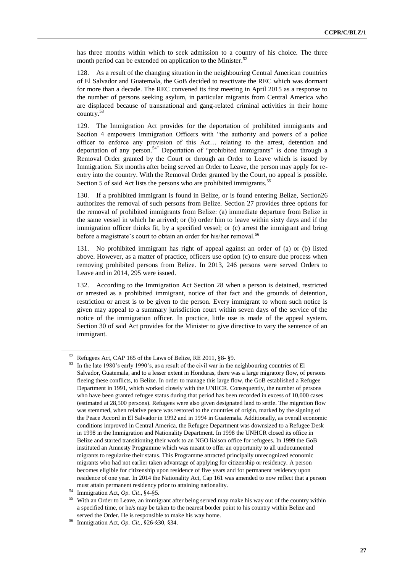has three months within which to seek admission to a country of his choice. The three month period can be extended on application to the Minister. $52$ 

128. As a result of the changing situation in the neighbouring Central American countries of El Salvador and Guatemala, the GoB decided to reactivate the REC which was dormant for more than a decade. The REC convened its first meeting in April 2015 as a response to the number of persons seeking asylum, in particular migrants from Central America who are displaced because of transnational and gang-related criminal activities in their home country.<sup>53</sup>

129. The Immigration Act provides for the deportation of prohibited immigrants and Section 4 empowers Immigration Officers with "the authority and powers of a police officer to enforce any provision of this Act… relating to the arrest, detention and deportation of any person.<sup>54"</sup> Deportation of "prohibited immigrants" is done through a Removal Order granted by the Court or through an Order to Leave which is issued by Immigration. Six months after being served an Order to Leave, the person may apply for reentry into the country. With the Removal Order granted by the Court, no appeal is possible. Section 5 of said Act lists the persons who are prohibited immigrants.<sup>55</sup>

130. If a prohibited immigrant is found in Belize, or is found entering Belize, Section26 authorizes the removal of such persons from Belize. Section 27 provides three options for the removal of prohibited immigrants from Belize: (a) immediate departure from Belize in the same vessel in which he arrived; or (b) order him to leave within sixty days and if the immigration officer thinks fit, by a specified vessel; or (c) arrest the immigrant and bring before a magistrate's court to obtain an order for his/her removal.<sup>56</sup>

131. No prohibited immigrant has right of appeal against an order of (a) or (b) listed above. However, as a matter of practice, officers use option (c) to ensure due process when removing prohibited persons from Belize. In 2013, 246 persons were served Orders to Leave and in 2014, 295 were issued.

132. According to the Immigration Act Section 28 when a person is detained, restricted or arrested as a prohibited immigrant, notice of that fact and the grounds of detention, restriction or arrest is to be given to the person. Every immigrant to whom such notice is given may appeal to a summary jurisdiction court within seven days of the service of the notice of the immigration officer. In practice, little use is made of the appeal system. Section 30 of said Act provides for the Minister to give directive to vary the sentence of an immigrant.

<sup>52</sup> Refugees Act, CAP 165 of the Laws of Belize, RE 2011, §8- §9.

<sup>53</sup> In the late 1980's early 1990's, as a result of the civil war in the neighbouring countries of El Salvador, Guatemala, and to a lesser extent in Honduras, there was a large migratory flow, of persons fleeing these conflicts, to Belize. In order to manage this large flow, the GoB established a Refugee Department in 1991, which worked closely with the UNHCR. Consequently, the number of persons who have been granted refugee status during that period has been recorded in excess of 10,000 cases (estimated at 28,500 persons). Refugees were also given designated land to settle. The migration flow was stemmed, when relative peace was restored to the countries of origin, marked by the signing of the Peace Accord in El Salvador in 1992 and in 1994 in Guatemala. Additionally, as overall economic conditions improved in Central America, the Refugee Department was downsized to a Refugee Desk in 1998 in the Immigration and Nationality Department. In 1998 the UNHCR closed its office in Belize and started transitioning their work to an NGO liaison office for refugees. In 1999 the GoB instituted an Amnesty Programme which was meant to offer an opportunity to all undocumented migrants to regularize their status. This Programme attracted principally unrecognized economic migrants who had not earlier taken advantage of applying for citizenship or residency. A person becomes eligible for citizenship upon residence of five years and for permanent residency upon residence of one year. In 2014 the Nationality Act, Cap 161 was amended to now reflect that a person must attain permanent residency prior to attaining nationality.

<sup>54</sup> Immigration Act, *Op. Cit*., §4-§5.

<sup>55</sup> With an Order to Leave, an immigrant after being served may make his way out of the country within a specified time, or he/s may be taken to the nearest border point to his country within Belize and served the Order. He is responsible to make his way home.

<sup>56</sup> Immigration Act, *Op. Cit.,* §26-§30, §34.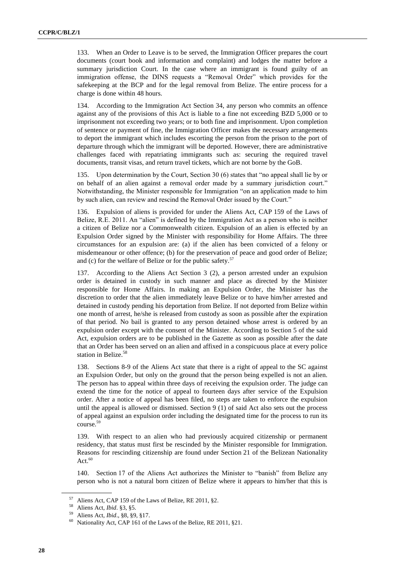133. When an Order to Leave is to be served, the Immigration Officer prepares the court documents (court book and information and complaint) and lodges the matter before a summary jurisdiction Court. In the case where an immigrant is found guilty of an immigration offense, the DINS requests a "Removal Order" which provides for the safekeeping at the BCP and for the legal removal from Belize. The entire process for a charge is done within 48 hours.

134. According to the Immigration Act Section 34, any person who commits an offence against any of the provisions of this Act is liable to a fine not exceeding BZD 5,000 or to imprisonment not exceeding two years; or to both fine and imprisonment. Upon completion of sentence or payment of fine, the Immigration Officer makes the necessary arrangements to deport the immigrant which includes escorting the person from the prison to the port of departure through which the immigrant will be deported. However, there are administrative challenges faced with repatriating immigrants such as: securing the required travel documents, transit visas, and return travel tickets, which are not borne by the GoB.

135. Upon determination by the Court, Section 30 (6) states that "no appeal shall lie by or on behalf of an alien against a removal order made by a summary jurisdiction court." Notwithstanding, the Minister responsible for Immigration "on an application made to him by such alien, can review and rescind the Removal Order issued by the Court."

136. Expulsion of aliens is provided for under the Aliens Act, CAP 159 of the Laws of Belize, R.E. 2011. An "alien" is defined by the Immigration Act as a person who is neither a citizen of Belize nor a Commonwealth citizen. Expulsion of an alien is effected by an Expulsion Order signed by the Minister with responsibility for Home Affairs. The three circumstances for an expulsion are: (a) if the alien has been convicted of a felony or misdemeanour or other offence; (b) for the preservation of peace and good order of Belize; and (c) for the welfare of Belize or for the public safety. $57$ 

137. According to the Aliens Act Section 3 (2), a person arrested under an expulsion order is detained in custody in such manner and place as directed by the Minister responsible for Home Affairs. In making an Expulsion Order, the Minister has the discretion to order that the alien immediately leave Belize or to have him/her arrested and detained in custody pending his deportation from Belize. If not deported from Belize within one month of arrest, he/she is released from custody as soon as possible after the expiration of that period. No bail is granted to any person detained whose arrest is ordered by an expulsion order except with the consent of the Minister. According to Section 5 of the said Act, expulsion orders are to be published in the Gazette as soon as possible after the date that an Order has been served on an alien and affixed in a conspicuous place at every police station in Belize.<sup>58</sup>

138. Sections 8-9 of the Aliens Act state that there is a right of appeal to the SC against an Expulsion Order, but only on the ground that the person being expelled is not an alien. The person has to appeal within three days of receiving the expulsion order. The judge can extend the time for the notice of appeal to fourteen days after service of the Expulsion order. After a notice of appeal has been filed, no steps are taken to enforce the expulsion until the appeal is allowed or dismissed. Section 9 (1) of said Act also sets out the process of appeal against an expulsion order including the designated time for the process to run its course.<sup>59</sup>

139. With respect to an alien who had previously acquired citizenship or permanent residency, that status must first be rescinded by the Minister responsible for Immigration. Reasons for rescinding citizenship are found under Section 21 of the Belizean Nationality Act. $60$ 

140. Section 17 of the Aliens Act authorizes the Minister to "banish" from Belize any person who is not a natural born citizen of Belize where it appears to him/her that this is

<sup>&</sup>lt;sup>57</sup> Aliens Act, CAP 159 of the Laws of Belize, RE 2011, §2.<br><sup>58</sup> Aliens Act, Ibid, <sup>82</sup>, <sup>85</sup>

<sup>&</sup>lt;sup>58</sup> Aliens Act, *Ibid*. §3, §5.

<sup>59</sup> Aliens Act, *Ibid*., §8, §9, §17.

Nationality Act, CAP 161 of the Laws of the Belize, RE 2011, §21.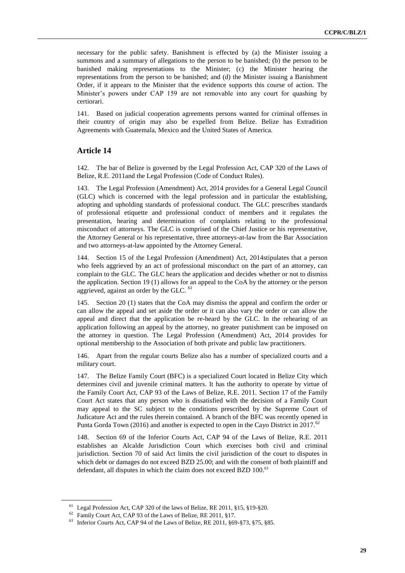necessary for the public safety. Banishment is effected by (a) the Minister issuing a summons and a summary of allegations to the person to be banished; (b) the person to be banished making representations to the Minister; (c) the Minister hearing the representations from the person to be banished; and (d) the Minister issuing a Banishment Order, if it appears to the Minister that the evidence supports this course of action. The Minister's powers under CAP 159 are not removable into any court for quashing by certiorari.

141. Based on judicial cooperation agreements persons wanted for criminal offenses in their country of origin may also be expelled from Belize. Belize has Extradition Agreements with Guatemala, Mexico and the United States of America.

#### **Article 14**

142. The bar of Belize is governed by the Legal Profession Act, CAP 320 of the Laws of Belize, R.E. 2011and the Legal Profession (Code of Conduct Rules).

143. The Legal Profession (Amendment) Act, 2014 provides for a General Legal Council (GLC) which is concerned with the legal profession and in particular the establishing, adopting and upholding standards of professional conduct. The GLC prescribes standards of professional etiquette and professional conduct of members and it regulates the presentation, hearing and determination of complaints relating to the professional misconduct of attorneys. The GLC is comprised of the Chief Justice or his representative, the Attorney General or his representative, three attorneys-at-law from the Bar Association and two attorneys-at-law appointed by the Attorney General.

144. Section 15 of the Legal Profession (Amendment) Act, 2014stipulates that a person who feels aggrieved by an act of professional misconduct on the part of an attorney, can complain to the GLC. The GLC hears the application and decides whether or not to dismiss the application. Section 19 (1) allows for an appeal to the CoA by the attorney or the person aggrieved, against an order by the GLC. <sup>61</sup>

145. Section 20 (1) states that the CoA may dismiss the appeal and confirm the order or can allow the appeal and set aside the order or it can also vary the order or can allow the appeal and direct that the application be re-heard by the GLC. In the rehearing of an application following an appeal by the attorney, no greater punishment can be imposed on the attorney in question. The Legal Profession (Amendment) Act, 2014 provides for optional membership to the Association of both private and public law practitioners.

146. Apart from the regular courts Belize also has a number of specialized courts and a military court.

147. The Belize Family Court (BFC) is a specialized Court located in Belize City which determines civil and juvenile criminal matters. It has the authority to operate by virtue of the Family Court Act, CAP 93 of the Laws of Belize, R.E. 2011. Section 17 of the Family Court Act states that any person who is dissatisfied with the decision of a Family Court may appeal to the SC subject to the conditions prescribed by the Supreme Court of Judicature Act and the rules therein contained. A branch of the BFC was recently opened in Punta Gorda Town (2016) and another is expected to open in the Cayo District in 2017.<sup>62</sup>

148. Section 69 of the Inferior Courts Act, CAP 94 of the Laws of Belize, R.E. 2011 establishes an Alcalde Jurisdiction Court which exercises both civil and criminal jurisdiction. Section 70 of said Act limits the civil jurisdiction of the court to disputes in which debt or damages do not exceed BZD 25.00; and with the consent of both plaintiff and defendant, all disputes in which the claim does not exceed BZD 100.<sup>63</sup>

<sup>61</sup> Legal Profession Act, CAP 320 of the laws of Belize, RE 2011, §15, §19-§20.

<sup>&</sup>lt;sup>62</sup> Family Court Act, CAP 93 of the Laws of Belize, RE 2011, §17.

<sup>63</sup> Inferior Courts Act, CAP 94 of the Laws of Belize, RE 2011, §69-§73, §75, §85.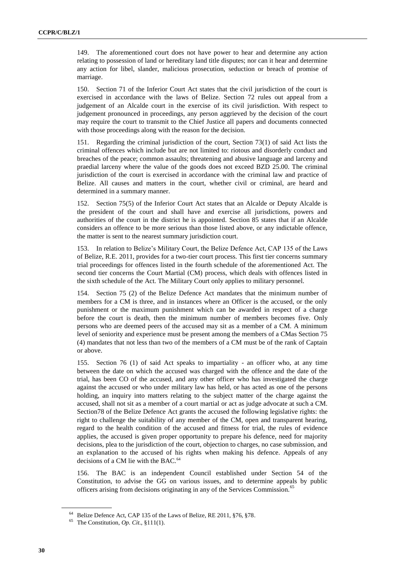149. The aforementioned court does not have power to hear and determine any action relating to possession of land or hereditary land title disputes; nor can it hear and determine any action for libel, slander, malicious prosecution, seduction or breach of promise of marriage.

150. Section 71 of the Inferior Court Act states that the civil jurisdiction of the court is exercised in accordance with the laws of Belize. Section 72 rules out appeal from a judgement of an Alcalde court in the exercise of its civil jurisdiction. With respect to judgement pronounced in proceedings, any person aggrieved by the decision of the court may require the court to transmit to the Chief Justice all papers and documents connected with those proceedings along with the reason for the decision.

151. Regarding the criminal jurisdiction of the court, Section 73(1) of said Act lists the criminal offences which include but are not limited to: riotous and disorderly conduct and breaches of the peace; common assaults; threatening and abusive language and larceny and praedial larceny where the value of the goods does not exceed BZD 25.00. The criminal jurisdiction of the court is exercised in accordance with the criminal law and practice of Belize. All causes and matters in the court, whether civil or criminal, are heard and determined in a summary manner.

152. Section 75(5) of the Inferior Court Act states that an Alcalde or Deputy Alcalde is the president of the court and shall have and exercise all jurisdictions, powers and authorities of the court in the district he is appointed. Section 85 states that if an Alcalde considers an offence to be more serious than those listed above, or any indictable offence, the matter is sent to the nearest summary jurisdiction court.

153. In relation to Belize's Military Court, the Belize Defence Act, CAP 135 of the Laws of Belize, R.E. 2011, provides for a two-tier court process. This first tier concerns summary trial proceedings for offences listed in the fourth schedule of the aforementioned Act. The second tier concerns the Court Martial (CM) process, which deals with offences listed in the sixth schedule of the Act. The Military Court only applies to military personnel.

154. Section 75 (2) of the Belize Defence Act mandates that the minimum number of members for a CM is three, and in instances where an Officer is the accused, or the only punishment or the maximum punishment which can be awarded in respect of a charge before the court is death, then the minimum number of members becomes five. Only persons who are deemed peers of the accused may sit as a member of a CM. A minimum level of seniority and experience must be present among the members of a CMas Section 75 (4) mandates that not less than two of the members of a CM must be of the rank of Captain or above.

155. Section 76 (1) of said Act speaks to impartiality - an officer who, at any time between the date on which the accused was charged with the offence and the date of the trial, has been CO of the accused, and any other officer who has investigated the charge against the accused or who under military law has held, or has acted as one of the persons holding, an inquiry into matters relating to the subject matter of the charge against the accused, shall not sit as a member of a court martial or act as judge advocate at such a CM. Section78 of the Belize Defence Act grants the accused the following legislative rights: the right to challenge the suitability of any member of the CM, open and transparent hearing, regard to the health condition of the accused and fitness for trial, the rules of evidence applies, the accused is given proper opportunity to prepare his defence, need for majority decisions, plea to the jurisdiction of the court, objection to charges, no case submission, and an explanation to the accused of his rights when making his defence. Appeals of any decisions of a CM lie with the BAC.<sup>64</sup>

156. The BAC is an independent Council established under Section 54 of the Constitution, to advise the GG on various issues, and to determine appeals by public officers arising from decisions originating in any of the Services Commission.<sup>65</sup>

<sup>&</sup>lt;sup>64</sup> Belize Defence Act, CAP 135 of the Laws of Belize, RE 2011, §76, §78.

<sup>65</sup> The Constitution, *Op. Cit*., §111(1).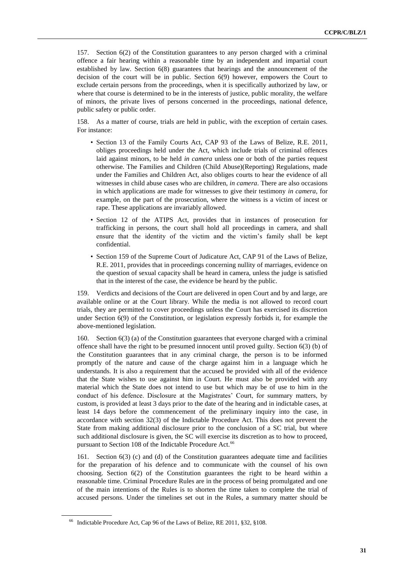157. Section 6(2) of the Constitution guarantees to any person charged with a criminal offence a fair hearing within a reasonable time by an independent and impartial court established by law. Section 6(8) guarantees that hearings and the announcement of the decision of the court will be in public. Section 6(9) however, empowers the Court to exclude certain persons from the proceedings, when it is specifically authorized by law, or where that course is determined to be in the interests of justice, public morality, the welfare of minors, the private lives of persons concerned in the proceedings, national defence, public safety or public order.

158. As a matter of course, trials are held in public, with the exception of certain cases. For instance:

- Section 13 of the Family Courts Act, CAP 93 of the Laws of Belize, R.E. 2011, obliges proceedings held under the Act, which include trials of criminal offences laid against minors, to be held *in camera* unless one or both of the parties request otherwise. The Families and Children (Child Abuse)(Reporting) Regulations, made under the Families and Children Act, also obliges courts to hear the evidence of all witnesses in child abuse cases who are children, *in camera*. There are also occasions in which applications are made for witnesses to give their testimony *in camera*, for example, on the part of the prosecution, where the witness is a victim of incest or rape. These applications are invariably allowed.
- Section 12 of the ATIPS Act, provides that in instances of prosecution for trafficking in persons, the court shall hold all proceedings in camera, and shall ensure that the identity of the victim and the victim's family shall be kept confidential.
- Section 159 of the Supreme Court of Judicature Act, CAP 91 of the Laws of Belize, R.E. 2011, provides that in proceedings concerning nullity of marriages, evidence on the question of sexual capacity shall be heard in camera, unless the judge is satisfied that in the interest of the case, the evidence be heard by the public.

159. Verdicts and decisions of the Court are delivered in open Court and by and large, are available online or at the Court library. While the media is not allowed to record court trials, they are permitted to cover proceedings unless the Court has exercised its discretion under Section 6(9) of the Constitution, or legislation expressly forbids it, for example the above-mentioned legislation.

160. Section 6(3) (a) of the Constitution guarantees that everyone charged with a criminal offence shall have the right to be presumed innocent until proved guilty. Section 6(3) (b) of the Constitution guarantees that in any criminal charge, the person is to be informed promptly of the nature and cause of the charge against him in a language which he understands. It is also a requirement that the accused be provided with all of the evidence that the State wishes to use against him in Court. He must also be provided with any material which the State does not intend to use but which may be of use to him in the conduct of his defence. Disclosure at the Magistrates' Court, for summary matters, by custom, is provided at least 3 days prior to the date of the hearing and in indictable cases, at least 14 days before the commencement of the preliminary inquiry into the case, in accordance with section 32(3) of the Indictable Procedure Act. This does not prevent the State from making additional disclosure prior to the conclusion of a SC trial, but where such additional disclosure is given, the SC will exercise its discretion as to how to proceed, pursuant to Section 108 of the Indictable Procedure Act.<sup>66</sup>

161. Section 6(3) (c) and (d) of the Constitution guarantees adequate time and facilities for the preparation of his defence and to communicate with the counsel of his own choosing. Section 6(2) of the Constitution guarantees the right to be heard within a reasonable time. Criminal Procedure Rules are in the process of being promulgated and one of the main intentions of the Rules is to shorten the time taken to complete the trial of accused persons. Under the timelines set out in the Rules, a summary matter should be

<sup>66</sup> Indictable Procedure Act, Cap 96 of the Laws of Belize, RE 2011, §32, §108.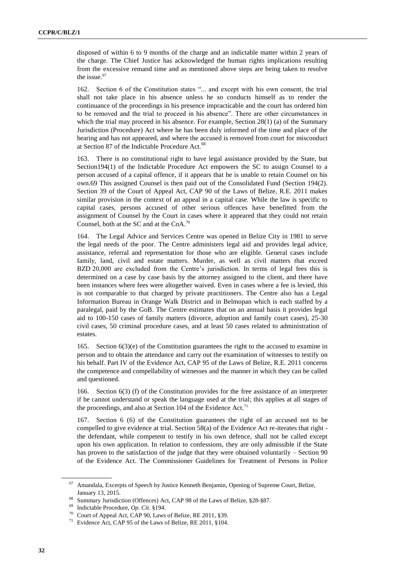disposed of within 6 to 9 months of the charge and an indictable matter within 2 years of the charge. The Chief Justice has acknowledged the human rights implications resulting from the excessive remand time and as mentioned above steps are being taken to resolve the issue.<sup>67</sup>

162. Section 6 of the Constitution states "... and except with his own consent, the trial shall not take place in his absence unless he so conducts himself as to render the continuance of the proceedings in his presence impracticable and the court has ordered him to be removed and the trial to proceed in his absence". There are other circumstances in which the trial may proceed in his absence. For example, Section 28(1) (a) of the Summary Jurisdiction (Procedure) Act where he has been duly informed of the time and place of the hearing and has not appeared, and where the accused is removed from court for misconduct at Section 87 of the Indictable Procedure Act.<sup>68</sup>

163. There is no constitutional right to have legal assistance provided by the State, but Section194(1) of the Indictable Procedure Act empowers the SC to assign Counsel to a person accused of a capital offence, if it appears that he is unable to retain Counsel on his own.69 This assigned Counsel is then paid out of the Consolidated Fund (Section 194(2). Section 39 of the Court of Appeal Act, CAP 90 of the Laws of Belize, R.E. 2011 makes similar provision in the context of an appeal in a capital case. While the law is specific to capital cases, persons accused of other serious offences have benefitted from the assignment of Counsel by the Court in cases where it appeared that they could not retain Counsel, both at the SC and at the  $CoA.<sup>70</sup>$ 

164. The Legal Advice and Services Centre was opened in Belize City in 1981 to serve the legal needs of the poor. The Centre administers legal aid and provides legal advice, assistance, referral and representation for those who are eligible. General cases include family, land, civil and estate matters. Murder, as well as civil matters that exceed BZD 20,000 are excluded from the Centre's jurisdiction. In terms of legal fees this is determined on a case by case basis by the attorney assigned to the client, and there have been instances where fees were altogether waived. Even in cases where a fee is levied, this is not comparable to that charged by private practitioners. The Centre also has a Legal Information Bureau in Orange Walk District and in Belmopan which is each staffed by a paralegal, paid by the GoB. The Centre estimates that on an annual basis it provides legal aid to 100-150 cases of family matters (divorce, adoption and family court cases), 25-30 civil cases, 50 criminal procedure cases, and at least 50 cases related to administration of estates.

165. Section  $6(3)(e)$  of the Constitution guarantees the right to the accused to examine in person and to obtain the attendance and carry out the examination of witnesses to testify on his behalf. Part IV of the Evidence Act, CAP 95 of the Laws of Belize, R.E. 2011 concerns the competence and compellability of witnesses and the manner in which they can be called and questioned.

166. Section 6(3) (f) of the Constitution provides for the free assistance of an interpreter if he cannot understand or speak the language used at the trial; this applies at all stages of the proceedings, and also at Section 104 of the Evidence Act.<sup>71</sup>

167. Section 6 (6) of the Constitution guarantees the right of an accused not to be compelled to give evidence at trial. Section 58(a) of the Evidence Act re-iterates that right the defendant, while competent to testify in his own defence, shall not be called except upon his own application. In relation to confessions, they are only admissible if the State has proven to the satisfaction of the judge that they were obtained voluntarily – Section 90 of the Evidence Act. The Commissioner Guidelines for Treatment of Persons in Police

<sup>67</sup> Amandala, Excerpts of Speech by Justice Kenneth Benjamin, Opening of Supreme Court, Belize, January 13, 2015.

<sup>&</sup>lt;sup>68</sup> Summary Jurisdiction (Offences) Act, CAP 98 of the Laws of Belize, §28-§87.

<sup>69</sup> Indictable Procedure, *Op. Cit*. §194.

Court of Appeal Act, CAP 90, Laws of Belize, RE 2011, §39.

Evidence Act, CAP 95 of the Laws of Belize, RE 2011, §104.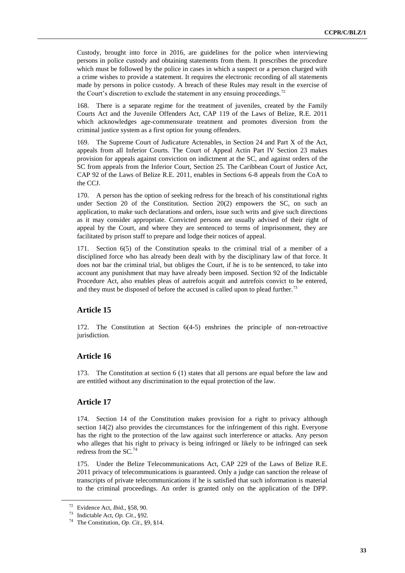Custody, brought into force in 2016, are guidelines for the police when interviewing persons in police custody and obtaining statements from them. It prescribes the procedure which must be followed by the police in cases in which a suspect or a person charged with a crime wishes to provide a statement. It requires the electronic recording of all statements made by persons in police custody. A breach of these Rules may result in the exercise of the Court's discretion to exclude the statement in any ensuing proceedings.<sup>72</sup>

168. There is a separate regime for the treatment of juveniles, created by the Family Courts Act and the Juvenile Offenders Act, CAP 119 of the Laws of Belize, R.E. 2011 which acknowledges age-commensurate treatment and promotes diversion from the criminal justice system as a first option for young offenders.

169. The Supreme Court of Judicature Actenables, in Section 24 and Part X of the Act, appeals from all Inferior Courts. The Court of Appeal Actin Part IV Section 23 makes provision for appeals against conviction on indictment at the SC, and against orders of the SC from appeals from the Inferior Court, Section 25. The Caribbean Court of Justice Act, CAP 92 of the Laws of Belize R.E. 2011, enables in Sections 6-8 appeals from the CoA to the CCJ.

170. A person has the option of seeking redress for the breach of his constitutional rights under Section 20 of the Constitution. Section 20(2) empowers the SC, on such an application, to make such declarations and orders, issue such writs and give such directions as it may consider appropriate. Convicted persons are usually advised of their right of appeal by the Court, and where they are sentenced to terms of imprisonment, they are facilitated by prison staff to prepare and lodge their notices of appeal.

171. Section 6(5) of the Constitution speaks to the criminal trial of a member of a disciplined force who has already been dealt with by the disciplinary law of that force. It does not bar the criminal trial, but obliges the Court, if he is to be sentenced, to take into account any punishment that may have already been imposed. Section 92 of the Indictable Procedure Act, also enables pleas of autrefois acquit and autrefois convict to be entered, and they must be disposed of before the accused is called upon to plead further.<sup>73</sup>

# **Article 15**

172. The Constitution at Section 6(4-5) enshrines the principle of non-retroactive jurisdiction.

# **Article 16**

173. The Constitution at section 6 (1) states that all persons are equal before the law and are entitled without any discrimination to the equal protection of the law.

# **Article 17**

174. Section 14 of the Constitution makes provision for a right to privacy although section 14(2) also provides the circumstances for the infringement of this right. Everyone has the right to the protection of the law against such interference or attacks. Any person who alleges that his right to privacy is being infringed or likely to be infringed can seek redress from the  $SC<sup>74</sup>$ 

175. Under the Belize Telecommunications Act, CAP 229 of the Laws of Belize R.E. 2011 privacy of telecommunications is guaranteed. Only a judge can sanction the release of transcripts of private telecommunications if he is satisfied that such information is material to the criminal proceedings. An order is granted only on the application of the DPP.

<sup>72</sup> Evidence Act, *Ibi*d., §58, 90.

<sup>73</sup> Indictable Act, *Op. Cit*., §92.

<sup>74</sup> The Constitution, *Op. Cit*., §9, §14.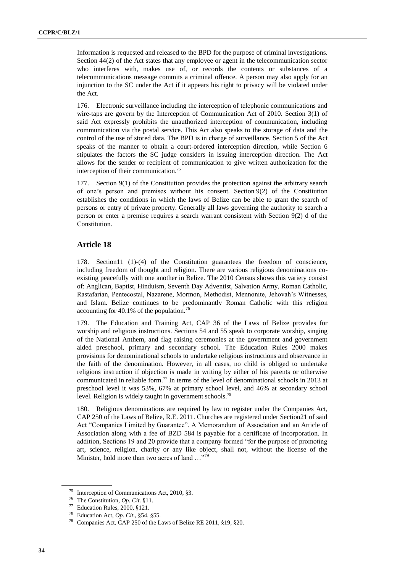Information is requested and released to the BPD for the purpose of criminal investigations. Section 44(2) of the Act states that any employee or agent in the telecommunication sector who interferes with, makes use of, or records the contents or substances of a telecommunications message commits a criminal offence. A person may also apply for an injunction to the SC under the Act if it appears his right to privacy will be violated under the Act.

176. Electronic surveillance including the interception of telephonic communications and wire-taps are govern by the Interception of Communication Act of 2010. Section 3(1) of said Act expressly prohibits the unauthorized interception of communication, including communication via the postal service. This Act also speaks to the storage of data and the control of the use of stored data. The BPD is in charge of surveillance. Section 5 of the Act speaks of the manner to obtain a court-ordered interception direction, while Section 6 stipulates the factors the SC judge considers in issuing interception direction. The Act allows for the sender or recipient of communication to give written authorization for the interception of their communication.<sup>75</sup>

177. Section 9(1) of the Constitution provides the protection against the arbitrary search of one's person and premises without his consent. Section 9(2) of the Constitution establishes the conditions in which the laws of Belize can be able to grant the search of persons or entry of private property. Generally all laws governing the authority to search a person or enter a premise requires a search warrant consistent with Section 9(2) d of the Constitution.

#### **Article 18**

178. Section11 (1)-(4) of the Constitution guarantees the freedom of conscience, including freedom of thought and religion. There are various religious denominations coexisting peacefully with one another in Belize. The 2010 Census shows this variety consist of: Anglican, Baptist, Hinduism, Seventh Day Adventist, Salvation Army, Roman Catholic, Rastafarian, Pentecostal, Nazarene, Mormon, Methodist, Mennonite, Jehovah's Witnesses, and Islam. Belize continues to be predominantly Roman Catholic with this religion accounting for 40.1% of the population.<sup>76</sup>

179. The Education and Training Act, CAP 36 of the Laws of Belize provides for worship and religious instructions. Sections 54 and 55 speak to corporate worship, singing of the National Anthem, and flag raising ceremonies at the government and government aided preschool, primary and secondary school. The Education Rules 2000 makes provisions for denominational schools to undertake religious instructions and observance in the faith of the denomination. However, in all cases, no child is obliged to undertake religions instruction if objection is made in writing by either of his parents or otherwise communicated in reliable form.<sup>77</sup> In terms of the level of denominational schools in 2013 at preschool level it was 53%, 67% at primary school level, and 46% at secondary school level. Religion is widely taught in government schools.<sup>78</sup>

180. Religious denominations are required by law to register under the Companies Act, CAP 250 of the Laws of Belize, R.E. 2011. Churches are registered under Section21 of said Act "Companies Limited by Guarantee". A Memorandum of Association and an Article of Association along with a fee of BZD 584 is payable for a certificate of incorporation. In addition, Sections 19 and 20 provide that a company formed "for the purpose of promoting art, science, religion, charity or any like object, shall not, without the license of the Minister, hold more than two acres of land ..."<sup>79</sup>

<sup>75</sup> Interception of Communications Act, 2010, §3.

<sup>76</sup> The Constitution, *Op. Cit*. §11.

<sup>77</sup> Education Rules, 2000, §121.

<sup>78</sup> Education Act, *Op. Cit*., §54, §55.

Companies Act, CAP 250 of the Laws of Belize RE 2011, §19, §20.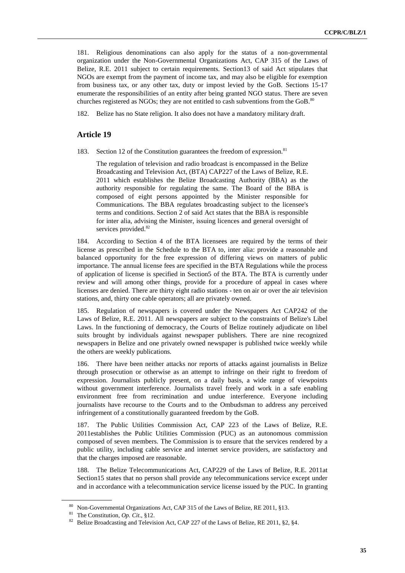181. Religious denominations can also apply for the status of a non-governmental organization under the Non-Governmental Organizations Act, CAP 315 of the Laws of Belize, R.E. 2011 subject to certain requirements. Section13 of said Act stipulates that NGOs are exempt from the payment of income tax, and may also be eligible for exemption from business tax, or any other tax, duty or impost levied by the GoB. Sections 15-17 enumerate the responsibilities of an entity after being granted NGO status. There are seven churches registered as NGOs; they are not entitled to cash subventions from the GoB. $^{80}$ 

182. Belize has no State religion. It also does not have a mandatory military draft.

#### **Article 19**

183. Section 12 of the Constitution guarantees the freedom of expression.<sup>81</sup>

The regulation of television and radio broadcast is encompassed in the Belize Broadcasting and Television Act, (BTA) CAP227 of the Laws of Belize, R.E. 2011 which establishes the Belize Broadcasting Authority (BBA) as the authority responsible for regulating the same. The Board of the BBA is composed of eight persons appointed by the Minister responsible for Communications. The BBA regulates broadcasting subject to the licensee's terms and conditions. Section 2 of said Act states that the BBA is responsible for inter alia, advising the Minister, issuing licences and general oversight of services provided.<sup>82</sup>

184. According to Section 4 of the BTA licensees are required by the terms of their license as prescribed in the Schedule to the BTA to, inter alia: provide a reasonable and balanced opportunity for the free expression of differing views on matters of public importance. The annual license fees are specified in the BTA Regulations while the process of application of license is specified in Section5 of the BTA. The BTA is currently under review and will among other things, provide for a procedure of appeal in cases where licenses are denied. There are thirty eight radio stations - ten on air or over the air television stations, and, thirty one cable operators; all are privately owned.

185. Regulation of newspapers is covered under the Newspapers Act CAP242 of the Laws of Belize, R.E. 2011. All newspapers are subject to the constraints of Belize's Libel Laws. In the functioning of democracy, the Courts of Belize routinely adjudicate on libel suits brought by individuals against newspaper publishers. There are nine recognized newspapers in Belize and one privately owned newspaper is published twice weekly while the others are weekly publications.

186. There have been neither attacks nor reports of attacks against journalists in Belize through prosecution or otherwise as an attempt to infringe on their right to freedom of expression. Journalists publicly present, on a daily basis, a wide range of viewpoints without government interference. Journalists travel freely and work in a safe enabling environment free from recrimination and undue interference. Everyone including journalists have recourse to the Courts and to the Ombudsman to address any perceived infringement of a constitutionally guaranteed freedom by the GoB.

187. The Public Utilities Commission Act, CAP 223 of the Laws of Belize, R.E. 2011establishes the Public Utilities Commission (PUC) as an autonomous commission composed of seven members. The Commission is to ensure that the services rendered by a public utility, including cable service and internet service providers, are satisfactory and that the charges imposed are reasonable.

188. The Belize Telecommunications Act, CAP229 of the Laws of Belize, R.E. 2011at Section15 states that no person shall provide any telecommunications service except under and in accordance with a telecommunication service license issued by the PUC. In granting

<sup>80</sup> Non-Governmental Organizations Act, CAP 315 of the Laws of Belize, RE 2011, §13.

<sup>81</sup> The Constitution, *Op. Cit*., §12.

<sup>&</sup>lt;sup>82</sup> Belize Broadcasting and Television Act, CAP 227 of the Laws of Belize, RE 2011, §2, §4.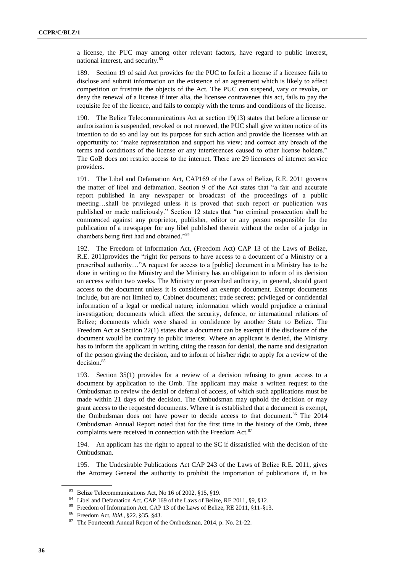a license, the PUC may among other relevant factors, have regard to public interest, national interest, and security.<sup>83</sup>

189. Section 19 of said Act provides for the PUC to forfeit a license if a licensee fails to disclose and submit information on the existence of an agreement which is likely to affect competition or frustrate the objects of the Act. The PUC can suspend, vary or revoke, or deny the renewal of a license if inter alia, the licensee contravenes this act, fails to pay the requisite fee of the licence, and fails to comply with the terms and conditions of the license.

190. The Belize Telecommunications Act at section 19(13) states that before a license or authorization is suspended, revoked or not renewed, the PUC shall give written notice of its intention to do so and lay out its purpose for such action and provide the licensee with an opportunity to: "make representation and support his view; and correct any breach of the terms and conditions of the license or any interferences caused to other license holders." The GoB does not restrict access to the internet. There are 29 licensees of internet service providers.

191. The Libel and Defamation Act, CAP169 of the Laws of Belize, R.E. 2011 governs the matter of libel and defamation. Section 9 of the Act states that "a fair and accurate report published in any newspaper or broadcast of the proceedings of a public meeting…shall be privileged unless it is proved that such report or publication was published or made maliciously." Section 12 states that "no criminal prosecution shall be commenced against any proprietor, publisher, editor or any person responsible for the publication of a newspaper for any libel published therein without the order of a judge in chambers being first had and obtained."<sup>84</sup>

192. The Freedom of Information Act, (Freedom Act) CAP 13 of the Laws of Belize, R.E. 2011provides the "right for persons to have access to a document of a Ministry or a prescribed authority…"A request for access to a [public] document in a Ministry has to be done in writing to the Ministry and the Ministry has an obligation to inform of its decision on access within two weeks. The Ministry or prescribed authority, in general, should grant access to the document unless it is considered an exempt document. Exempt documents include, but are not limited to, Cabinet documents; trade secrets; privileged or confidential information of a legal or medical nature; information which would prejudice a criminal investigation; documents which affect the security, defence, or international relations of Belize; documents which were shared in confidence by another State to Belize. The Freedom Act at Section 22(1) states that a document can be exempt if the disclosure of the document would be contrary to public interest. Where an applicant is denied, the Ministry has to inform the applicant in writing citing the reason for denial, the name and designation of the person giving the decision, and to inform of his/her right to apply for a review of the decision.<sup>85</sup>

193. Section 35(1) provides for a review of a decision refusing to grant access to a document by application to the Omb. The applicant may make a written request to the Ombudsman to review the denial or deferral of access, of which such applications must be made within 21 days of the decision. The Ombudsman may uphold the decision or may grant access to the requested documents. Where it is established that a document is exempt, the Ombudsman does not have power to decide access to that document.<sup>86</sup> The 2014 Ombudsman Annual Report noted that for the first time in the history of the Omb, three complaints were received in connection with the Freedom Act.<sup>87</sup>

194. An applicant has the right to appeal to the SC if dissatisfied with the decision of the Ombudsman.

195. The Undesirable Publications Act CAP 243 of the Laws of Belize R.E. 2011, gives the Attorney General the authority to prohibit the importation of publications if, in his

<sup>83</sup> Belize Telecommunications Act, No 16 of 2002, §15, §19.

<sup>84</sup> Libel and Defamation Act, CAP 169 of the Laws of Belize, RE 2011, §9, §12.

<sup>85</sup> Freedom of Information Act, CAP 13 of the Laws of Belize, RE 2011, §11-§13.

<sup>86</sup> Freedom Act, *Ibid*., §22, §35, §43.

<sup>87</sup> The Fourteenth Annual Report of the Ombudsman, 2014, p. No. 21-22.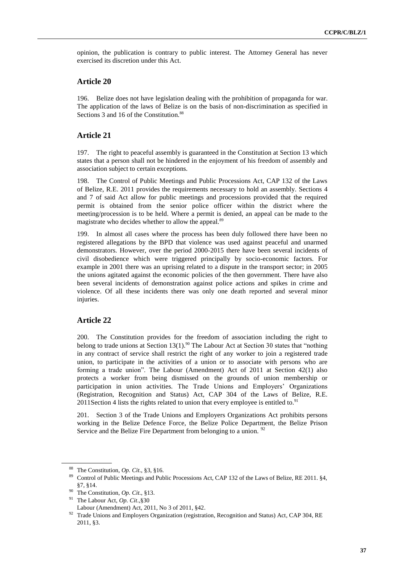opinion, the publication is contrary to public interest. The Attorney General has never exercised its discretion under this Act.

### **Article 20**

196. Belize does not have legislation dealing with the prohibition of propaganda for war. The application of the laws of Belize is on the basis of non-discrimination as specified in Sections 3 and 16 of the Constitution.<sup>88</sup>

#### **Article 21**

197. The right to peaceful assembly is guaranteed in the Constitution at Section 13 which states that a person shall not be hindered in the enjoyment of his freedom of assembly and association subject to certain exceptions.

198. The Control of Public Meetings and Public Processions Act, CAP 132 of the Laws of Belize, R.E. 2011 provides the requirements necessary to hold an assembly. Sections 4 and 7 of said Act allow for public meetings and processions provided that the required permit is obtained from the senior police officer within the district where the meeting/procession is to be held. Where a permit is denied, an appeal can be made to the magistrate who decides whether to allow the appeal.<sup>89</sup>

199. In almost all cases where the process has been duly followed there have been no registered allegations by the BPD that violence was used against peaceful and unarmed demonstrators. However, over the period 2000-2015 there have been several incidents of civil disobedience which were triggered principally by socio-economic factors. For example in 2001 there was an uprising related to a dispute in the transport sector; in 2005 the unions agitated against the economic policies of the then government. There have also been several incidents of demonstration against police actions and spikes in crime and violence. Of all these incidents there was only one death reported and several minor injuries.

## **Article 22**

200. The Constitution provides for the freedom of association including the right to belong to trade unions at Section  $13(1)$ .<sup>90</sup> The Labour Act at Section 30 states that "nothing in any contract of service shall restrict the right of any worker to join a registered trade union, to participate in the activities of a union or to associate with persons who are forming a trade union". The Labour (Amendment) Act of 2011 at Section 42(1) also protects a worker from being dismissed on the grounds of union membership or participation in union activities. The Trade Unions and Employers' Organizations (Registration, Recognition and Status) Act, CAP 304 of the Laws of Belize, R.E. 2011Section 4 lists the rights related to union that every employee is entitled to.<sup>91</sup>

201. Section 3 of the Trade Unions and Employers Organizations Act prohibits persons working in the Belize Defence Force, the Belize Police Department, the Belize Prison Service and the Belize Fire Department from belonging to a union. <sup>92</sup>

<sup>&</sup>lt;sup>88</sup> The Constitution, *Op. Cit.*, §3, §16.<br><sup>89</sup> Control of Public Magings and Pub

<sup>89</sup> Control of Public Meetings and Public Processions Act, CAP 132 of the Laws of Belize, RE 2011. §4, §7, §14.

<sup>90</sup> The Constitution, *Op. Cit*., §13.

<sup>91</sup> The Labour Act, *Op. Cit*.,§30 Labour (Amendment) Act, 2011, No 3 of 2011, §42.

<sup>92</sup> Trade Unions and Employers Organization (registration, Recognition and Status) Act*,* CAP 304, RE 2011, §3.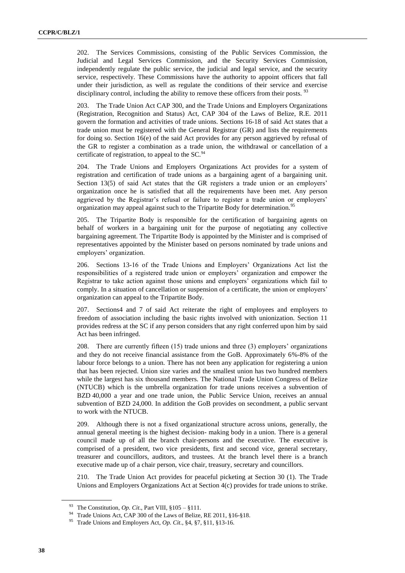202. The Services Commissions, consisting of the Public Services Commission, the Judicial and Legal Services Commission, and the Security Services Commission, independently regulate the public service, the judicial and legal service, and the security service, respectively. These Commissions have the authority to appoint officers that fall under their jurisdiction, as well as regulate the conditions of their service and exercise disciplinary control, including the ability to remove these officers from their posts.  $93$ 

203. The Trade Union Act CAP 300, and the Trade Unions and Employers Organizations (Registration, Recognition and Status) Act, CAP 304 of the Laws of Belize, R.E. 2011 govern the formation and activities of trade unions. Sections 16-18 of said Act states that a trade union must be registered with the General Registrar (GR) and lists the requirements for doing so. Section 16(e) of the said Act provides for any person aggrieved by refusal of the GR to register a combination as a trade union, the withdrawal or cancellation of a certificate of registration, to appeal to the SC.<sup>94</sup>

204. The Trade Unions and Employers Organizations Act provides for a system of registration and certification of trade unions as a bargaining agent of a bargaining unit. Section 13(5) of said Act states that the GR registers a trade union or an employers' organization once he is satisfied that all the requirements have been met. Any person aggrieved by the Registrar's refusal or failure to register a trade union or employers' organization may appeal against such to the Tripartite Body for determination.<sup>95</sup>

205. The Tripartite Body is responsible for the certification of bargaining agents on behalf of workers in a bargaining unit for the purpose of negotiating any collective bargaining agreement. The Tripartite Body is appointed by the Minister and is comprised of representatives appointed by the Minister based on persons nominated by trade unions and employers' organization.

206. Sections 13-16 of the Trade Unions and Employers' Organizations Act list the responsibilities of a registered trade union or employers' organization and empower the Registrar to take action against those unions and employers' organizations which fail to comply. In a situation of cancellation or suspension of a certificate, the union or employers' organization can appeal to the Tripartite Body.

207. Sections4 and 7 of said Act reiterate the right of employees and employers to freedom of association including the basic rights involved with unionization. Section 11 provides redress at the SC if any person considers that any right conferred upon him by said Act has been infringed.

208. There are currently fifteen (15) trade unions and three (3) employers' organizations and they do not receive financial assistance from the GoB. Approximately 6%-8% of the labour force belongs to a union. There has not been any application for registering a union that has been rejected. Union size varies and the smallest union has two hundred members while the largest has six thousand members. The National Trade Union Congress of Belize (NTUCB) which is the umbrella organization for trade unions receives a subvention of BZD 40,000 a year and one trade union, the Public Service Union, receives an annual subvention of BZD 24,000. In addition the GoB provides on secondment, a public servant to work with the NTUCB.

209. Although there is not a fixed organizational structure across unions, generally, the annual general meeting is the highest decision- making body in a union. There is a general council made up of all the branch chair-persons and the executive. The executive is comprised of a president, two vice presidents, first and second vice, general secretary, treasurer and councillors, auditors, and trustees. At the branch level there is a branch executive made up of a chair person, vice chair, treasury, secretary and councillors.

210. The Trade Union Act provides for peaceful picketing at Section 30 (1). The Trade Unions and Employers Organizations Act at Section 4(c) provides for trade unions to strike.

<sup>&</sup>lt;sup>93</sup> The Constitution, *Op. Cit.*, Part VIII,  $\S 105 - \S 111$ .

<sup>&</sup>lt;sup>94</sup> Trade Unions Act, CAP 300 of the Laws of Belize, RE 2011, §16-§18.

<sup>95</sup> Trade Unions and Employers Act, *Op. Cit*., §4, §7, §11, §13-16.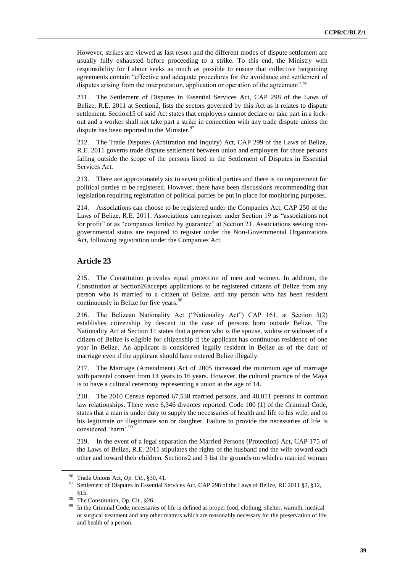However, strikes are viewed as last resort and the different modes of dispute settlement are usually fully exhausted before proceeding to a strike. To this end, the Ministry with responsibility for Labour seeks as much as possible to ensure that collective bargaining agreements contain "effective and adequate procedures for the avoidance and settlement of disputes arising from the interpretation, application or operation of the agreement".<sup>96</sup>

211. The Settlement of Disputes in Essential Services Act, CAP 298 of the Laws of Belize, R.E. 2011 at Section2, lists the sectors governed by this Act as it relates to dispute settlement. Section15 of said Act states that employers cannot declare or take part in a lockout and a worker shall not take part a strike in connection with any trade dispute unless the dispute has been reported to the Minister.<sup>97</sup>

212. The Trade Disputes (Arbitration and Inquiry) Act, CAP 299 of the Laws of Belize, R.E. 2011 governs trade dispute settlement between union and employers for those persons falling outside the scope of the persons listed in the Settlement of Disputes in Essential Services Act.

213. There are approximately six to seven political parties and there is no requirement for political parties to be registered. However, there have been discussions recommending that legislation requiring registration of political parties be put in place for monitoring purposes.

214. Associations can choose to be registered under the Companies Act, CAP 250 of the Laws of Belize, R.E. 2011. Associations can register under Section 19 as "associations not for profit" or as "companies limited by guarantee" at Section 21. Associations seeking nongovernmental status are required to register under the Non-Governmental Organizations Act, following registration under the Companies Act.

#### **Article 23**

215. The Constitution provides equal protection of men and women. In addition, the Constitution at Section26accepts applications to be registered citizens of Belize from any person who is married to a citizen of Belize, and any person who has been resident continuously in Belize for five years.<sup>98</sup>

216. The Belizean Nationality Act ("Nationality Act") CAP 161, at Section 5(2) establishes citizenship by descent in the case of persons born outside Belize. The Nationality Act at Section 11 states that a person who is the spouse, widow or widower of a citizen of Belize is eligible for citizenship if the applicant has continuous residence of one year in Belize. An applicant is considered legally resident in Belize as of the date of marriage even if the applicant should have entered Belize illegally.

217. The Marriage (Amendment) Act of 2005 increased the minimum age of marriage with parental consent from 14 years to 16 years. However, the cultural practice of the Maya is to have a cultural ceremony representing a union at the age of 14.

218. The 2010 Census reported 67,538 married persons, and 48,011 persons in common law relationships. There were 6,346 divorces reported. Code 100 (1) of the Criminal Code, states that a man is under duty to supply the necessaries of health and life to his wife, and to his legitimate or illegitimate son or daughter. Failure to provide the necessaries of life is considered 'harm'.<sup>99</sup>

219. In the event of a legal separation the Married Persons (Protection) Act, CAP 175 of the Laws of Belize, R.E. 2011 stipulates the rights of the husband and the wife toward each other and toward their children. Sections2 and 3 list the grounds on which a married woman

<sup>&</sup>lt;sup>96</sup> Trade Unions Act, *Op. Cit.*, §30, 41.

<sup>97</sup> Settlement of Disputes in Essential Services Act, CAP 298 of the Laws of Belize, RE 2011 §2, §12, §15.

The Constitution, Op. Cit., §26.

In the Criminal Code, necessaries of life is defined as proper food, clothing, shelter, warmth, medical or surgical treatment and any other matters which are reasonably necessary for the preservation of life and health of a person.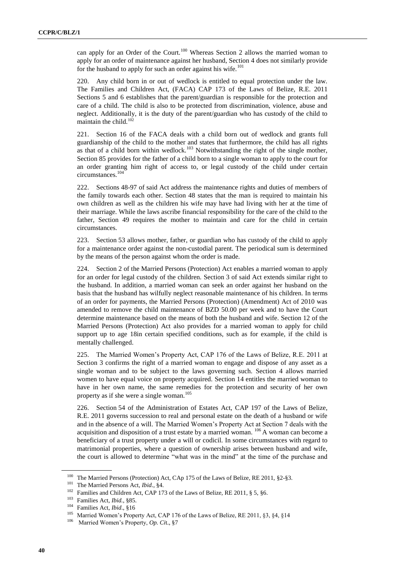can apply for an Order of the Court.<sup>100</sup> Whereas Section 2 allows the married woman to apply for an order of maintenance against her husband, Section 4 does not similarly provide for the husband to apply for such an order against his wife.<sup>101</sup>

220. Any child born in or out of wedlock is entitled to equal protection under the law. The Families and Children Act, (FACA) CAP 173 of the Laws of Belize, R.E. 2011 Sections 5 and 6 establishes that the parent/guardian is responsible for the protection and care of a child. The child is also to be protected from discrimination, violence, abuse and neglect. Additionally, it is the duty of the parent/guardian who has custody of the child to maintain the child.<sup>102</sup>

221. Section 16 of the FACA deals with a child born out of wedlock and grants full guardianship of the child to the mother and states that furthermore, the child has all rights as that of a child born within wedlock.<sup>103</sup> Notwithstanding the right of the single mother, Section 85 provides for the father of a child born to a single woman to apply to the court for an order granting him right of access to, or legal custody of the child under certain circumstances.<sup>104</sup>

222. Sections 48-97 of said Act address the maintenance rights and duties of members of the family towards each other. Section 48 states that the man is required to maintain his own children as well as the children his wife may have had living with her at the time of their marriage. While the laws ascribe financial responsibility for the care of the child to the father, Section 49 requires the mother to maintain and care for the child in certain circumstances.

223. Section 53 allows mother, father, or guardian who has custody of the child to apply for a maintenance order against the non-custodial parent. The periodical sum is determined by the means of the person against whom the order is made.

224. Section 2 of the Married Persons (Protection) Act enables a married woman to apply for an order for legal custody of the children. Section 3 of said Act extends similar right to the husband. In addition, a married woman can seek an order against her husband on the basis that the husband has wilfully neglect reasonable maintenance of his children. In terms of an order for payments, the Married Persons (Protection) (Amendment) Act of 2010 was amended to remove the child maintenance of BZD 50.00 per week and to have the Court determine maintenance based on the means of both the husband and wife. Section 12 of the Married Persons (Protection) Act also provides for a married woman to apply for child support up to age 18in certain specified conditions, such as for example, if the child is mentally challenged.

225. The Married Women's Property Act, CAP 176 of the Laws of Belize, R.E. 2011 at Section 3 confirms the right of a married woman to engage and dispose of any asset as a single woman and to be subject to the laws governing such. Section 4 allows married women to have equal voice on property acquired. Section 14 entitles the married woman to have in her own name, the same remedies for the protection and security of her own property as if she were a single woman.<sup>105</sup>

226. Section 54 of the Administration of Estates Act, CAP 197 of the Laws of Belize, R.E. 2011 governs succession to real and personal estate on the death of a husband or wife and in the absence of a will. The Married Women's Property Act at Section 7 deals with the acquisition and disposition of a trust estate by a married woman. <sup>106</sup> A woman can become a beneficiary of a trust property under a will or codicil. In some circumstances with regard to matrimonial properties, where a question of ownership arises between husband and wife, the court is allowed to determine "what was in the mind" at the time of the purchase and

<sup>100</sup> The Married Persons (Protection) Act, CAp 175 of the Laws of Belize, RE 2011, §2-§3.

<sup>101</sup> The Married Persons Act*, Ibid*., §4.

<sup>&</sup>lt;sup>102</sup> Families and Children Act, CAP 173 of the Laws of Belize, RE 2011, § 5, §6.<br><sup>103</sup> Familias Act, *Ibid.* \$95

Families Act, *Ibid.*, §85.

<sup>&</sup>lt;sup>104</sup> Families Act, *Ibid.*, §16<br><sup>105</sup> Merried Wemen's Prop.

<sup>&</sup>lt;sup>105</sup> Married Women's Property Act, CAP 176 of the Laws of Belize, RE 2011, §3, §4, §14<br><sup>106</sup> Married Waman's Property, On Cit. <sup>§7</sup>

Married Women's Property, *Op. Cit.*, §7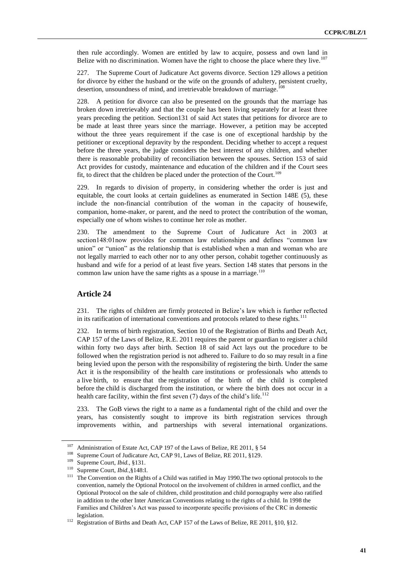then rule accordingly. Women are entitled by law to acquire, possess and own land in Belize with no discrimination. Women have the right to choose the place where they live.<sup>107</sup>

227. The Supreme Court of Judicature Act governs divorce. Section 129 allows a petition for divorce by either the husband or the wife on the grounds of adultery, persistent cruelty, desertion, unsoundness of mind, and irretrievable breakdown of marriage.<sup>1</sup>

228. A petition for divorce can also be presented on the grounds that the marriage has broken down irretrievably and that the couple has been living separately for at least three years preceding the petition. Section131 of said Act states that petitions for divorce are to be made at least three years since the marriage. However, a petition may be accepted without the three years requirement if the case is one of exceptional hardship by the petitioner or exceptional depravity by the respondent. Deciding whether to accept a request before the three years, the judge considers the best interest of any children, and whether there is reasonable probability of reconciliation between the spouses. Section 153 of said Act provides for custody, maintenance and education of the children and if the Court sees fit, to direct that the children be placed under the protection of the Court.<sup>109</sup>

229. In regards to division of property, in considering whether the order is just and equitable, the court looks at certain guidelines as enumerated in Section 148E (5), these include the non-financial contribution of the woman in the capacity of housewife, companion, home-maker, or parent, and the need to protect the contribution of the woman, especially one of whom wishes to continue her role as mother.

230. The amendment to the Supreme Court of Judicature Act in 2003 at section148:01now provides for common law relationships and defines "common law union" or "union" as the relationship that is established when a man and woman who are not legally married to each other nor to any other person, cohabit together continuously as husband and wife for a period of at least five years. Section 148 states that persons in the common law union have the same rights as a spouse in a marriage.<sup>110</sup>

## **Article 24**

231. The rights of children are firmly protected in Belize's law which is further reflected in its ratification of international conventions and protocols related to these rights.<sup>111</sup>

232. In terms of birth registration, Section 10 of the Registration of Births and Death Act, CAP 157 of the Laws of Belize, R.E. 2011 requires the parent or guardian to register a child within forty two days after birth. Section 18 of said Act lays out the procedure to be followed when the registration period is not adhered to. Failure to do so may result in a fine being levied upon the person with the responsibility of registering the birth. Under the same Act it is the responsibility of the health care institutions or professionals who attends to a live birth, to ensure that the registration of the birth of the child is completed before the child is discharged from the institution, or where the birth does not occur in a health care facility, within the first seven  $(7)$  days of the child's life.<sup>112</sup>

233. The GoB views the right to a name as a fundamental right of the child and over the years, has consistently sought to improve its birth registration services through improvements within, and partnerships with several international organizations.

<sup>&</sup>lt;sup>107</sup> Administration of Estate Act, CAP 197 of the Laws of Belize, RE 2011,  $\S$  54<br><sup>108</sup> S

<sup>&</sup>lt;sup>108</sup> Supreme Court of Judicature Act, CAP 91, Laws of Belize, RE 2011, §129.

Supreme Court, *Ibid.*, §131.

<sup>110</sup> Supreme Court, *Ibid.,*§148:I.

<sup>&</sup>lt;sup>111</sup> The Convention on the Rights of a Child was ratified in May 1990. The two optional protocols to the convention, namely the Optional Protocol on the involvement of children in armed conflict, and the Optional Protocol on the sale of children, child prostitution and child pornography were also ratified in addition to the other Inter American Conventions relating to the rights of a child. In 1998 the Families and Children's Act was passed to incorporate specific provisions of the CRC in domestic legislation.

<sup>&</sup>lt;sup>112</sup> Registration of Births and Death Act, CAP 157 of the Laws of Belize, RE 2011, §10, §12.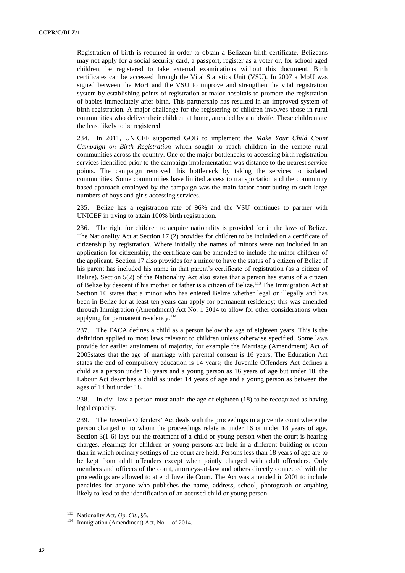Registration of birth is required in order to obtain a Belizean birth certificate. Belizeans may not apply for a social security card, a passport, register as a voter or, for school aged children, be registered to take external examinations without this document. Birth certificates can be accessed through the Vital Statistics Unit (VSU). In 2007 a MoU was signed between the MoH and the VSU to improve and strengthen the vital registration system by establishing points of registration at major hospitals to promote the registration of babies immediately after birth. This partnership has resulted in an improved system of birth registration. A major challenge for the registering of children involves those in rural communities who deliver their children at home, attended by a midwife. These children are the least likely to be registered.

234. In 2011, UNICEF supported GOB to implement the *Make Your Child Count Campaign on Birth Registration* which sought to reach children in the remote rural communities across the country. One of the major bottlenecks to accessing birth registration services identified prior to the campaign implementation was distance to the nearest service points. The campaign removed this bottleneck by taking the services to isolated communities. Some communities have limited access to transportation and the community based approach employed by the campaign was the main factor contributing to such large numbers of boys and girls accessing services.

235. Belize has a registration rate of 96% and the VSU continues to partner with UNICEF in trying to attain 100% birth registration.

236. The right for children to acquire nationality is provided for in the laws of Belize. The Nationality Act at Section 17 (2) provides for children to be included on a certificate of citizenship by registration. Where initially the names of minors were not included in an application for citizenship, the certificate can be amended to include the minor children of the applicant. Section 17 also provides for a minor to have the status of a citizen of Belize if his parent has included his name in that parent's certificate of registration (as a citizen of Belize). Section 5(2) of the Nationality Act also states that a person has status of a citizen of Belize by descent if his mother or father is a citizen of Belize.<sup>113</sup> The Immigration Act at Section 10 states that a minor who has entered Belize whether legal or illegally and has been in Belize for at least ten years can apply for permanent residency; this was amended through Immigration (Amendment) Act No. 1 2014 to allow for other considerations when applying for permanent residency.<sup>114</sup>

237. The FACA defines a child as a person below the age of eighteen years. This is the definition applied to most laws relevant to children unless otherwise specified. Some laws provide for earlier attainment of majority, for example the Marriage (Amendment) Act of 2005states that the age of marriage with parental consent is 16 years; The Education Act states the end of compulsory education is 14 years; the Juvenile Offenders Act defines a child as a person under 16 years and a young person as 16 years of age but under 18; the Labour Act describes a child as under 14 years of age and a young person as between the ages of 14 but under 18.

238. In civil law a person must attain the age of eighteen (18) to be recognized as having legal capacity.

239. The Juvenile Offenders' Act deals with the proceedings in a juvenile court where the person charged or to whom the proceedings relate is under 16 or under 18 years of age. Section 3(1-6) lays out the treatment of a child or young person when the court is hearing charges. Hearings for children or young persons are held in a different building or room than in which ordinary settings of the court are held. Persons less than 18 years of age are to be kept from adult offenders except when jointly charged with adult offenders. Only members and officers of the court, attorneys-at-law and others directly connected with the proceedings are allowed to attend Juvenile Court. The Act was amended in 2001 to include penalties for anyone who publishes the name, address, school, photograph or anything likely to lead to the identification of an accused child or young person.

<sup>113</sup> Nationality Act, *Op. Cit*., §5.

<sup>114</sup> Immigration (Amendment) Act, No. 1 of 2014.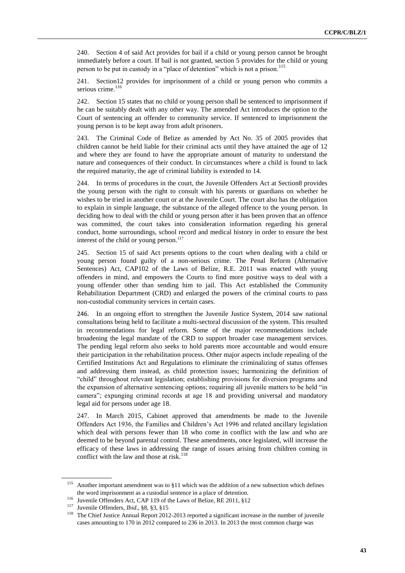240. Section 4 of said Act provides for bail if a child or young person cannot be brought immediately before a court. If bail is not granted, section 5 provides for the child or young person to be put in custody in a "place of detention" which is not a prison.<sup>115</sup>

241. Section12 provides for imprisonment of a child or young person who commits a serious crime.<sup>116</sup>

242. Section 15 states that no child or young person shall be sentenced to imprisonment if he can be suitably dealt with any other way. The amended Act introduces the option to the Court of sentencing an offender to community service. If sentenced to imprisonment the young person is to be kept away from adult prisoners.

243. The Criminal Code of Belize as amended by Act No. 35 of 2005 provides that children cannot be held liable for their criminal acts until they have attained the age of 12 and where they are found to have the appropriate amount of maturity to understand the nature and consequences of their conduct. In circumstances where a child is found to lack the required maturity, the age of criminal liability is extended to 14.

244. In terms of procedures in the court, the Juvenile Offenders Act at Section8 provides the young person with the right to consult with his parents or guardians on whether he wishes to be tried in another court or at the Juvenile Court. The court also has the obligation to explain in simple language, the substance of the alleged offence to the young person. In deciding how to deal with the child or young person after it has been proven that an offence was committed, the court takes into consideration information regarding his general conduct, home surroundings, school record and medical history in order to ensure the best interest of the child or young person.<sup>117</sup>

245. Section 15 of said Act presents options to the court when dealing with a child or young person found guilty of a non-serious crime. The Penal Reform (Alternative Sentences) Act, CAP102 of the Laws of Belize, R.E. 2011 was enacted with young offenders in mind, and empowers the Courts to find more positive ways to deal with a young offender other than sending him to jail. This Act established the Community Rehabilitation Department (CRD) and enlarged the powers of the criminal courts to pass non-custodial community services in certain cases.

246. In an ongoing effort to strengthen the Juvenile Justice System, 2014 saw national consultations being held to facilitate a multi-sectoral discussion of the system. This resulted in recommendations for legal reform. Some of the major recommendations include broadening the legal mandate of the CRD to support broader case management services. The pending legal reform also seeks to hold parents more accountable and would ensure their participation in the rehabilitation process. Other major aspects include repealing of the Certified Institutions Act and Regulations to eliminate the criminalizing of status offenses and addressing them instead, as child protection issues; harmonizing the definition of "child" throughout relevant legislation; establishing provisions for diversion programs and the expansion of alternative sentencing options; requiring all juvenile matters to be held "in camera"; expunging criminal records at age 18 and providing universal and mandatory legal aid for persons under age 18.

247. In March 2015, Cabinet approved that amendments be made to the Juvenile Offenders Act 1936, the Families and Children's Act 1996 and related ancillary legislation which deal with persons fewer than 18 who come in conflict with the law and who are deemed to be beyond parental control. These amendments, once legislated, will increase the efficacy of these laws in addressing the range of issues arising from children coming in conflict with the law and those at risk.<sup>118</sup>

<sup>&</sup>lt;sup>115</sup> Another important amendment was to §11 which was the addition of a new subsection which defines the word imprisonment as a custodial sentence in a place of detention.

<sup>116</sup> Juvenile Offenders Act, CAP 119 of the Laws of Belize, RE 2011, §12

<sup>117</sup> Juvenile Offenders, *Ibid*., §8, §3, §15

<sup>&</sup>lt;sup>118</sup> The Chief Justice Annual Report 2012-2013 reported a significant increase in the number of juvenile cases amounting to 170 in 2012 compared to 236 in 2013. In 2013 the most common charge was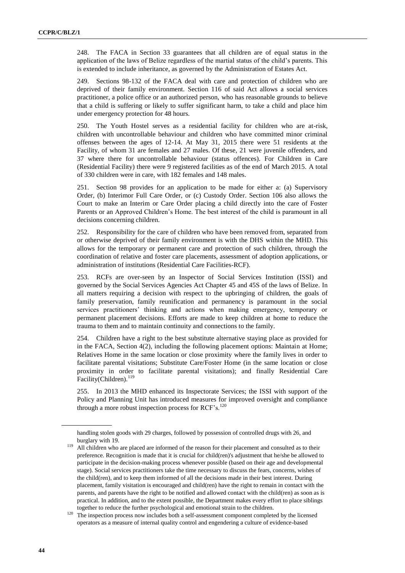248. The FACA in Section 33 guarantees that all children are of equal status in the application of the laws of Belize regardless of the martial status of the child's parents. This is extended to include inheritance, as governed by the Administration of Estates Act.

249. Sections 98-132 of the FACA deal with care and protection of children who are deprived of their family environment. Section 116 of said Act allows a social services practitioner, a police office or an authorized person, who has reasonable grounds to believe that a child is suffering or likely to suffer significant harm, to take a child and place him under emergency protection for 48 hours.

250. The Youth Hostel serves as a residential facility for children who are at-risk, children with uncontrollable behaviour and children who have committed minor criminal offenses between the ages of 12-14. At May 31, 2015 there were 51 residents at the Facility, of whom 31 are females and 27 males. Of these, 21 were juvenile offenders, and 37 where there for uncontrollable behaviour (status offences). For Children in Care (Residential Facility) there were 9 registered facilities as of the end of March 2015. A total of 330 children were in care, with 182 females and 148 males.

251. Section 98 provides for an application to be made for either a: (a) Supervisory Order, (b) Interimor Full Care Order, or (c) Custody Order. Section 106 also allows the Court to make an Interim or Care Order placing a child directly into the care of Foster Parents or an Approved Children's Home. The best interest of the child is paramount in all decisions concerning children.

252. Responsibility for the care of children who have been removed from, separated from or otherwise deprived of their family environment is with the DHS within the MHD. This allows for the temporary or permanent care and protection of such children, through the coordination of relative and foster care placements, assessment of adoption applications, or administration of institutions (Residential Care Facilities-RCF).

253. RCFs are over-seen by an Inspector of Social Services Institution (ISSI) and governed by the Social Services Agencies Act Chapter 45 and 45S of the laws of Belize. In all matters requiring a decision with respect to the upbringing of children, the goals of family preservation, family reunification and permanency is paramount in the social services practitioners' thinking and actions when making emergency, temporary or permanent placement decisions. Efforts are made to keep children at home to reduce the trauma to them and to maintain continuity and connections to the family.

254. Children have a right to the best substitute alternative staying place as provided for in the FACA, Section 4(2), including the following placement options: Maintain at Home; Relatives Home in the same location or close proximity where the family lives in order to facilitate parental visitations; Substitute Care/Foster Home (in the same location or close proximity in order to facilitate parental visitations); and finally Residential Care Facility(Children).<sup>119</sup>

255. In 2013 the MHD enhanced its Inspectorate Services; the ISSI with support of the Policy and Planning Unit has introduced measures for improved oversight and compliance through a more robust inspection process for  $RCF's.<sup>120</sup>$ 

handling stolen goods with 29 charges, followed by possession of controlled drugs with 26, and burglary with 19.

<sup>&</sup>lt;sup>119</sup> All children who are placed are informed of the reason for their placement and consulted as to their preference. Recognition is made that it is crucial for child(ren)'s adjustment that he/she be allowed to participate in the decision-making process whenever possible (based on their age and developmental stage). Social services practitioners take the time necessary to discuss the fears, concerns, wishes of the child(ren), and to keep them informed of all the decisions made in their best interest. During placement, family visitation is encouraged and child(ren) have the right to remain in contact with the parents, and parents have the right to be notified and allowed contact with the child(ren) as soon as is practical. In addition, and to the extent possible, the Department makes every effort to place siblings together to reduce the further psychological and emotional strain to the children.

<sup>&</sup>lt;sup>120</sup> The inspection process now includes both a self-assessment component completed by the licensed operators as a measure of internal quality control and engendering a culture of evidence-based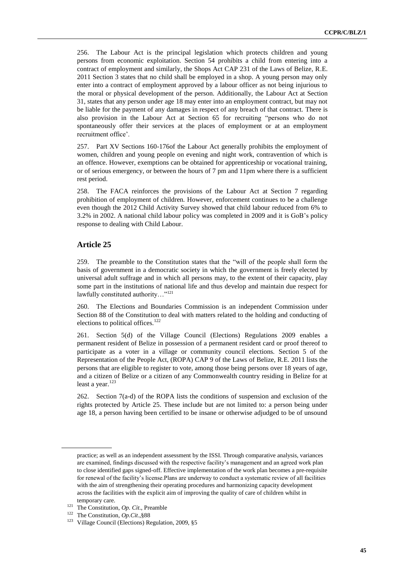256. The Labour Act is the principal legislation which protects children and young persons from economic exploitation. Section 54 prohibits a child from entering into a contract of employment and similarly, the Shops Act CAP 231 of the Laws of Belize, R.E. 2011 Section 3 states that no child shall be employed in a shop. A young person may only enter into a contract of employment approved by a labour officer as not being injurious to the moral or physical development of the person. Additionally, the Labour Act at Section 31, states that any person under age 18 may enter into an employment contract, but may not be liable for the payment of any damages in respect of any breach of that contract. There is also provision in the Labour Act at Section 65 for recruiting "persons who do not spontaneously offer their services at the places of employment or at an employment recruitment office'.

257. Part XV Sections 160-176of the Labour Act generally prohibits the employment of women, children and young people on evening and night work, contravention of which is an offence. However, exemptions can be obtained for apprenticeship or vocational training, or of serious emergency, or between the hours of 7 pm and 11pm where there is a sufficient rest period.

258. The FACA reinforces the provisions of the Labour Act at Section 7 regarding prohibition of employment of children. However, enforcement continues to be a challenge even though the 2012 Child Activity Survey showed that child labour reduced from 6% to 3.2% in 2002. A national child labour policy was completed in 2009 and it is GoB's policy response to dealing with Child Labour.

#### **Article 25**

259. The preamble to the Constitution states that the "will of the people shall form the basis of government in a democratic society in which the government is freely elected by universal adult suffrage and in which all persons may, to the extent of their capacity, play some part in the institutions of national life and thus develop and maintain due respect for lawfully constituted authority…"<sup>121</sup>

260. The Elections and Boundaries Commission is an independent Commission under Section 88 of the Constitution to deal with matters related to the holding and conducting of elections to political offices.<sup>122</sup>

261. Section 5(d) of the Village Council (Elections) Regulations 2009 enables a permanent resident of Belize in possession of a permanent resident card or proof thereof to participate as a voter in a village or community council elections. Section 5 of the Representation of the People Act, (ROPA) CAP 9 of the Laws of Belize, R.E. 2011 lists the persons that are eligible to register to vote, among those being persons over 18 years of age, and a citizen of Belize or a citizen of any Commonwealth country residing in Belize for at least a year.<sup>123</sup>

262. Section 7(a-d) of the ROPA lists the conditions of suspension and exclusion of the rights protected by Article 25. These include but are not limited to: a person being under age 18, a person having been certified to be insane or otherwise adjudged to be of unsound

practice; as well as an independent assessment by the ISSI. Through comparative analysis, variances are examined, findings discussed with the respective facility's management and an agreed work plan to close identified gaps signed-off. Effective implementation of the work plan becomes a pre-requisite for renewal of the facility's license.Plans are underway to conduct a systematic review of all facilities with the aim of strengthening their operating procedures and harmonizing capacity development across the facilities with the explicit aim of improving the quality of care of children whilst in temporary care.

<sup>121</sup> The Constitution, *Op. Cit*., Preamble

<sup>122</sup> The Constitution, *Op.Cit*.,§88

<sup>&</sup>lt;sup>123</sup> Village Council (Elections) Regulation, 2009, §5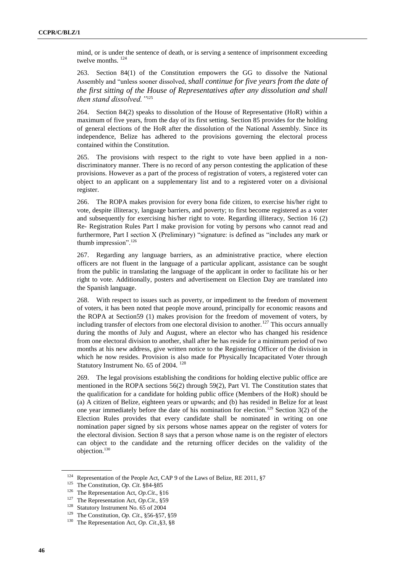mind, or is under the sentence of death, or is serving a sentence of imprisonment exceeding twelve months.<sup>124</sup>

263. Section 84(1) of the Constitution empowers the GG to dissolve the National Assembly and "unless sooner dissolved, *shall continue for five years from the date of the first sitting of the House of Representatives after any dissolution and shall then stand dissolved."*<sup>125</sup>

264. Section 84(2) speaks to dissolution of the House of Representative (HoR) within a maximum of five years, from the day of its first setting. Section 85 provides for the holding of general elections of the HoR after the dissolution of the National Assembly. Since its independence, Belize has adhered to the provisions governing the electoral process contained within the Constitution.

265. The provisions with respect to the right to vote have been applied in a nondiscriminatory manner. There is no record of any person contesting the application of these provisions. However as a part of the process of registration of voters, a registered voter can object to an applicant on a supplementary list and to a registered voter on a divisional register.

266. The ROPA makes provision for every bona fide citizen, to exercise his/her right to vote, despite illiteracy, language barriers, and poverty; to first become registered as a voter and subsequently for exercising his/her right to vote. Regarding illiteracy, Section 16 (2) Re- Registration Rules Part I make provision for voting by persons who cannot read and furthermore, Part I section X (Preliminary) "signature: is defined as "includes any mark or thumb impression".<sup>126</sup>

267. Regarding any language barriers, as an administrative practice, where election officers are not fluent in the language of a particular applicant, assistance can be sought from the public in translating the language of the applicant in order to facilitate his or her right to vote. Additionally, posters and advertisement on Election Day are translated into the Spanish language.

268. With respect to issues such as poverty, or impediment to the freedom of movement of voters, it has been noted that people move around, principally for economic reasons and the ROPA at Section59 (1) makes provision for the freedom of movement of voters, by including transfer of electors from one electoral division to another.<sup>127</sup> This occurs annually during the months of July and August, where an elector who has changed his residence from one electoral division to another, shall after he has reside for a minimum period of two months at his new address, give written notice to the Registering Officer of the division in which he now resides. Provision is also made for Physically Incapacitated Voter through Statutory Instrument No. 65 of 2004.<sup>128</sup>

269. The legal provisions establishing the conditions for holding elective public office are mentioned in the ROPA sections 56(2) through 59(2), Part VI. The Constitution states that the qualification for a candidate for holding public office (Members of the HoR) should be (a) A citizen of Belize, eighteen years or upwards; and (b) has resided in Belize for at least one year immediately before the date of his nomination for election.<sup>129</sup> Section 3(2) of the Election Rules provides that every candidate shall be nominated in writing on one nomination paper signed by six persons whose names appear on the register of voters for the electoral division. Section 8 says that a person whose name is on the register of electors can object to the candidate and the returning officer decides on the validity of the objection.<sup>130</sup>

<sup>124</sup> Representation of the People Act, CAP 9 of the Laws of Belize, RE 2011, §7

<sup>125</sup> The Constitution, *Op. Cit*. §84-§85

<sup>126</sup> The Representation Act, *Op.Cit*., §16

<sup>127</sup> The Representation Act, *Op.Cit.,* §59

<sup>&</sup>lt;sup>128</sup> Statutory Instrument No. 65 of 2004

<sup>&</sup>lt;sup>129</sup> The Constitution, *Op. Cit.*, §56-§57, §59<br><sup>130</sup> The Representation Act. *Op. Cit.* 83, 88

The Representation Act, *Op. Cit.*,§3, §8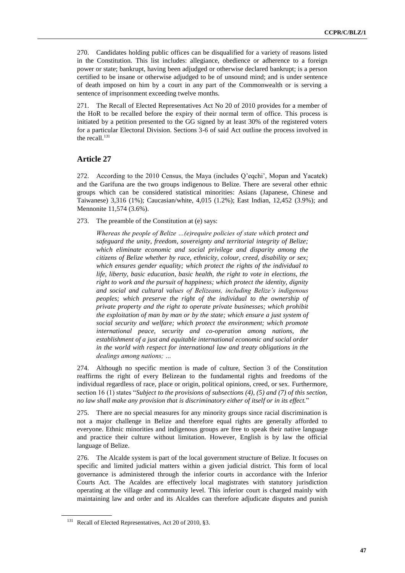270. Candidates holding public offices can be disqualified for a variety of reasons listed in the Constitution. This list includes: allegiance, obedience or adherence to a foreign power or state; bankrupt, having been adjudged or otherwise declared bankrupt; is a person certified to be insane or otherwise adjudged to be of unsound mind; and is under sentence of death imposed on him by a court in any part of the Commonwealth or is serving a sentence of imprisonment exceeding twelve months.

271. The Recall of Elected Representatives Act No 20 of 2010 provides for a member of the HoR to be recalled before the expiry of their normal term of office. This process is initiated by a petition presented to the GG signed by at least 30% of the registered voters for a particular Electoral Division. Sections 3-6 of said Act outline the process involved in the recall. $131$ 

#### **Article 27**

272. According to the 2010 Census, the Maya (includes Q'eqchi', Mopan and Yacatek) and the Garifuna are the two groups indigenous to Belize. There are several other ethnic groups which can be considered statistical minorities: Asians (Japanese, Chinese and Taiwanese) 3,316 (1%); Caucasian/white, 4,015 (1.2%); East Indian, 12,452 (3.9%); and Mennonite 11,574 (3.6%).

273. The preamble of the Constitution at (e) says:

*Whereas the people of Belize …(e)require policies of state which protect and safeguard the unity, freedom, sovereignty and territorial integrity of Belize; which eliminate economic and social privilege and disparity among the citizens of Belize whether by race, ethnicity, colour, creed, disability or sex; which ensures gender equality; which protect the rights of the individual to life, liberty, basic education, basic health, the right to vote in elections, the right to work and the pursuit of happiness; which protect the identity, dignity and social and cultural values of Belizeans, including Belize's indigenous peoples; which preserve the right of the individual to the ownership of private property and the right to operate private businesses; which prohibit the exploitation of man by man or by the state; which ensure a just system of social security and welfare; which protect the environment; which promote international peace, security and co-operation among nations, the establishment of a just and equitable international economic and social order in the world with respect for international law and treaty obligations in the dealings among nations; …*

274. Although no specific mention is made of culture, Section 3 of the Constitution reaffirms the right of every Belizean to the fundamental rights and freedoms of the individual regardless of race, place or origin, political opinions, creed, or sex. Furthermore, section 16 (1) states "*Subject to the provisions of subsections (4), (5) and (7) of this section, no law shall make any provision that is discriminatory either of itself or in its effect.*"

275. There are no special measures for any minority groups since racial discrimination is not a major challenge in Belize and therefore equal rights are generally afforded to everyone. Ethnic minorities and indigenous groups are free to speak their native language and practice their culture without limitation. However, English is by law the official language of Belize.

276. The Alcalde system is part of the local government structure of Belize. It focuses on specific and limited judicial matters within a given judicial district. This form of local governance is administered through the inferior courts in accordance with the Inferior Courts Act. The Acaldes are effectively local magistrates with statutory jurisdiction operating at the village and community level. This inferior court is charged mainly with maintaining law and order and its Alcaldes can therefore adjudicate disputes and punish

<sup>&</sup>lt;sup>131</sup> Recall of Elected Representatives, Act 20 of 2010, §3.